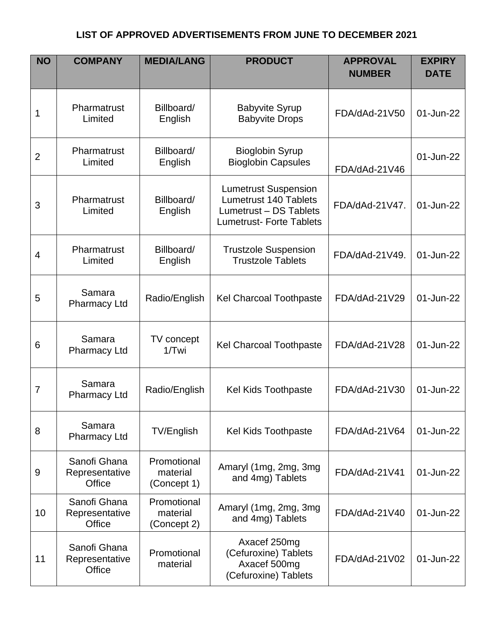| <b>NO</b>      | <b>COMPANY</b>                           | <b>MEDIA/LANG</b>                      | <b>PRODUCT</b>                                                                                                   | <b>APPROVAL</b><br><b>NUMBER</b> | <b>EXPIRY</b><br><b>DATE</b> |
|----------------|------------------------------------------|----------------------------------------|------------------------------------------------------------------------------------------------------------------|----------------------------------|------------------------------|
| 1              | Pharmatrust<br>Limited                   | Billboard/<br>English                  | <b>Babyvite Syrup</b><br><b>Babyvite Drops</b>                                                                   | FDA/dAd-21V50                    | 01-Jun-22                    |
| $\overline{2}$ | Pharmatrust<br>Limited                   | Billboard/<br>English                  | <b>Bioglobin Syrup</b><br><b>Bioglobin Capsules</b>                                                              | FDA/dAd-21V46                    | 01-Jun-22                    |
| 3              | Pharmatrust<br>Limited                   | Billboard/<br>English                  | <b>Lumetrust Suspension</b><br>Lumetrust 140 Tablets<br>Lumetrust - DS Tablets<br><b>Lumetrust-Forte Tablets</b> | FDA/dAd-21V47.                   | 01-Jun-22                    |
| 4              | Pharmatrust<br>Limited                   | Billboard/<br>English                  | <b>Trustzole Suspension</b><br><b>Trustzole Tablets</b>                                                          | FDA/dAd-21V49.                   | 01-Jun-22                    |
| 5              | Samara<br><b>Pharmacy Ltd</b>            | Radio/English                          | <b>Kel Charcoal Toothpaste</b>                                                                                   | FDA/dAd-21V29                    | 01-Jun-22                    |
| 6              | Samara<br><b>Pharmacy Ltd</b>            | TV concept<br>$1/T$ wi                 | <b>Kel Charcoal Toothpaste</b>                                                                                   | FDA/dAd-21V28                    | 01-Jun-22                    |
| 7              | Samara<br><b>Pharmacy Ltd</b>            | Radio/English                          | <b>Kel Kids Toothpaste</b>                                                                                       | FDA/dAd-21V30                    | 01-Jun-22                    |
| 8              | Samara<br><b>Pharmacy Ltd</b>            | TV/English                             | <b>Kel Kids Toothpaste</b>                                                                                       | FDA/dAd-21V64                    | 01-Jun-22                    |
| 9              | Sanofi Ghana<br>Representative<br>Office | Promotional<br>material<br>(Concept 1) | Amaryl (1mg, 2mg, 3mg<br>and 4mg) Tablets                                                                        | FDA/dAd-21V41                    | 01-Jun-22                    |
| 10             | Sanofi Ghana<br>Representative<br>Office | Promotional<br>material<br>(Concept 2) | Amaryl (1mg, 2mg, 3mg<br>and 4mg) Tablets                                                                        | FDA/dAd-21V40                    | 01-Jun-22                    |
| 11             | Sanofi Ghana<br>Representative<br>Office | Promotional<br>material                | Axacef 250mg<br>(Cefuroxine) Tablets<br>Axacef 500mg<br>(Cefuroxine) Tablets                                     | FDA/dAd-21V02                    | 01-Jun-22                    |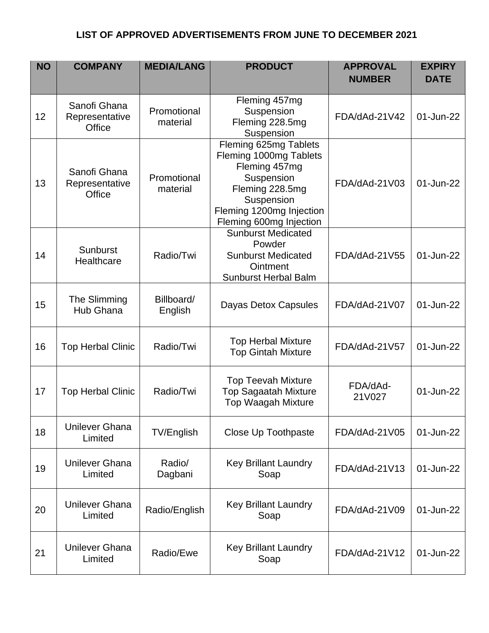| <b>NO</b> | <b>COMPANY</b>                           | <b>MEDIA/LANG</b>       | <b>PRODUCT</b>                                                                                                                                                         | <b>APPROVAL</b><br><b>NUMBER</b> | <b>EXPIRY</b><br><b>DATE</b> |
|-----------|------------------------------------------|-------------------------|------------------------------------------------------------------------------------------------------------------------------------------------------------------------|----------------------------------|------------------------------|
| 12        | Sanofi Ghana<br>Representative<br>Office | Promotional<br>material | Fleming 457mg<br>Suspension<br>Fleming 228.5mg<br>Suspension                                                                                                           | FDA/dAd-21V42                    | 01-Jun-22                    |
| 13        | Sanofi Ghana<br>Representative<br>Office | Promotional<br>material | Fleming 625mg Tablets<br>Fleming 1000mg Tablets<br>Fleming 457mg<br>Suspension<br>Fleming 228.5mg<br>Suspension<br>Fleming 1200mg Injection<br>Fleming 600mg Injection | FDA/dAd-21V03                    | 01-Jun-22                    |
| 14        | <b>Sunburst</b><br>Healthcare            | Radio/Twi               | <b>Sunburst Medicated</b><br>Powder<br><b>Sunburst Medicated</b><br>Ointment<br><b>Sunburst Herbal Balm</b>                                                            | FDA/dAd-21V55                    | 01-Jun-22                    |
| 15        | The Slimming<br><b>Hub Ghana</b>         | Billboard/<br>English   | Dayas Detox Capsules                                                                                                                                                   | FDA/dAd-21V07                    | 01-Jun-22                    |
| 16        | <b>Top Herbal Clinic</b>                 | Radio/Twi               | <b>Top Herbal Mixture</b><br><b>Top Gintah Mixture</b>                                                                                                                 | FDA/dAd-21V57                    | 01-Jun-22                    |
| 17        | <b>Top Herbal Clinic</b>                 | Radio/Twi               | <b>Top Teevah Mixture</b><br><b>Top Sagaatah Mixture</b><br><b>Top Waagah Mixture</b>                                                                                  | FDA/dAd-<br>21V027               | 01-Jun-22                    |
| 18        | <b>Unilever Ghana</b><br>Limited         | TV/English              | Close Up Toothpaste                                                                                                                                                    | FDA/dAd-21V05                    | 01-Jun-22                    |
| 19        | <b>Unilever Ghana</b><br>Limited         | Radio/<br>Dagbani       | <b>Key Brillant Laundry</b><br>Soap                                                                                                                                    | FDA/dAd-21V13                    | 01-Jun-22                    |
| 20        | <b>Unilever Ghana</b><br>Limited         | Radio/English           | <b>Key Brillant Laundry</b><br>Soap                                                                                                                                    | FDA/dAd-21V09                    | 01-Jun-22                    |
| 21        | <b>Unilever Ghana</b><br>Limited         | Radio/Ewe               | <b>Key Brillant Laundry</b><br>Soap                                                                                                                                    | FDA/dAd-21V12                    | 01-Jun-22                    |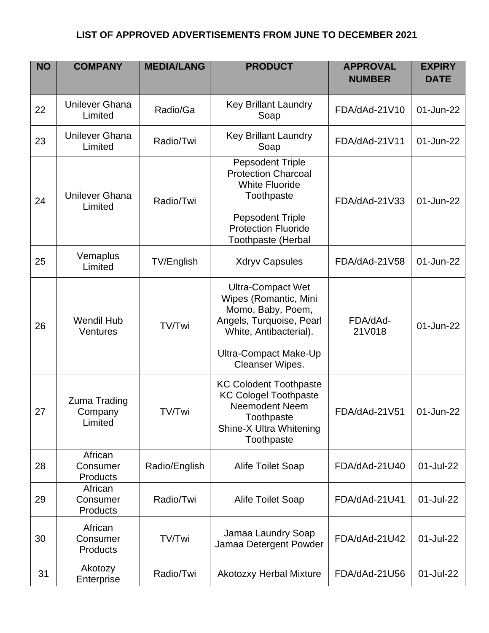| <b>NO</b> | <b>COMPANY</b>                     | <b>MEDIA/LANG</b> | <b>PRODUCT</b>                                                                                                                                                                     | <b>APPROVAL</b><br><b>NUMBER</b> | <b>EXPIRY</b><br><b>DATE</b> |
|-----------|------------------------------------|-------------------|------------------------------------------------------------------------------------------------------------------------------------------------------------------------------------|----------------------------------|------------------------------|
| 22        | <b>Unilever Ghana</b><br>Limited   | Radio/Ga          | <b>Key Brillant Laundry</b><br>Soap                                                                                                                                                | FDA/dAd-21V10                    | 01-Jun-22                    |
| 23        | <b>Unilever Ghana</b><br>Limited   | Radio/Twi         | <b>Key Brillant Laundry</b><br>Soap                                                                                                                                                | FDA/dAd-21V11                    | 01-Jun-22                    |
| 24        | <b>Unilever Ghana</b><br>Limited   | Radio/Twi         | <b>Pepsodent Triple</b><br><b>Protection Charcoal</b><br><b>White Fluoride</b><br>Toothpaste<br><b>Pepsodent Triple</b><br><b>Protection Fluoride</b><br><b>Toothpaste (Herbal</b> | FDA/dAd-21V33                    | 01-Jun-22                    |
| 25        | Vemaplus<br>Limited                | TV/English        | <b>Xdryv Capsules</b>                                                                                                                                                              | FDA/dAd-21V58                    | 01-Jun-22                    |
| 26        | <b>Wendil Hub</b><br>Ventures      | TV/Twi            | <b>Ultra-Compact Wet</b><br>Wipes (Romantic, Mini<br>Momo, Baby, Poem,<br>Angels, Turquoise, Pearl<br>White, Antibacterial).<br>Ultra-Compact Make-Up<br>Cleanser Wipes.           | FDA/dAd-<br>21V018               | 01-Jun-22                    |
| 27        | Zuma Trading<br>Company<br>Limited | TV/Twi            | <b>KC Colodent Toothpaste</b><br><b>KC Cologel Toothpaste</b><br>Neemodent Neem<br>Toothpaste<br>Shine-X Ultra Whitening<br>Toothpaste                                             | FDA/dAd-21V51                    | 01-Jun-22                    |
| 28        | African<br>Consumer<br>Products    | Radio/English     | <b>Alife Toilet Soap</b>                                                                                                                                                           | FDA/dAd-21U40                    | 01-Jul-22                    |
| 29        | African<br>Consumer<br>Products    | Radio/Twi         | <b>Alife Toilet Soap</b>                                                                                                                                                           | FDA/dAd-21U41                    | 01-Jul-22                    |
| 30        | African<br>Consumer<br>Products    | TV/Twi            | Jamaa Laundry Soap<br>Jamaa Detergent Powder                                                                                                                                       | FDA/dAd-21U42                    | 01-Jul-22                    |
| 31        | Akotozy<br>Enterprise              | Radio/Twi         | <b>Akotozxy Herbal Mixture</b>                                                                                                                                                     | FDA/dAd-21U56                    | 01-Jul-22                    |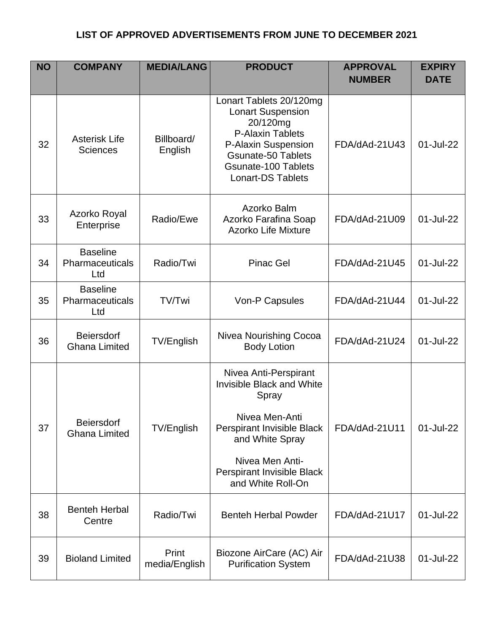| <b>NO</b> | <b>COMPANY</b>                            | <b>MEDIA/LANG</b>      | <b>PRODUCT</b>                                                                                                                                                                                    | <b>APPROVAL</b><br><b>NUMBER</b> | <b>EXPIRY</b><br><b>DATE</b> |
|-----------|-------------------------------------------|------------------------|---------------------------------------------------------------------------------------------------------------------------------------------------------------------------------------------------|----------------------------------|------------------------------|
| 32        | <b>Asterisk Life</b><br><b>Sciences</b>   | Billboard/<br>English  | Lonart Tablets 20/120mg<br><b>Lonart Suspension</b><br>20/120mg<br>P-Alaxin Tablets<br>P-Alaxin Suspension<br><b>Gsunate-50 Tablets</b><br><b>Gsunate-100 Tablets</b><br><b>Lonart-DS Tablets</b> | FDA/dAd-21U43                    | 01-Jul-22                    |
| 33        | Azorko Royal<br>Enterprise                | Radio/Ewe              | Azorko Balm<br>Azorko Farafina Soap<br><b>Azorko Life Mixture</b>                                                                                                                                 | FDA/dAd-21U09                    | 01-Jul-22                    |
| 34        | <b>Baseline</b><br>Pharmaceuticals<br>Ltd | Radio/Twi              | <b>Pinac Gel</b>                                                                                                                                                                                  | FDA/dAd-21U45                    | 01-Jul-22                    |
| 35        | <b>Baseline</b><br>Pharmaceuticals<br>Ltd | TV/Twi                 | Von-P Capsules                                                                                                                                                                                    | FDA/dAd-21U44                    | 01-Jul-22                    |
| 36        | <b>Beiersdorf</b><br><b>Ghana Limited</b> | TV/English             | Nivea Nourishing Cocoa<br><b>Body Lotion</b>                                                                                                                                                      | FDA/dAd-21U24                    | 01-Jul-22                    |
| 37        | <b>Beiersdorf</b><br><b>Ghana Limited</b> | <b>TV/English</b>      | Nivea Anti-Perspirant<br><b>Invisible Black and White</b><br>Spray<br>Nivea Men-Anti<br>Perspirant Invisible Black<br>and White Spray                                                             | FDA/dAd-21U11                    | 01-Jul-22                    |
|           |                                           |                        | Nivea Men Anti-<br>Perspirant Invisible Black<br>and White Roll-On                                                                                                                                |                                  |                              |
| 38        | <b>Benteh Herbal</b><br>Centre            | Radio/Twi              | <b>Benteh Herbal Powder</b>                                                                                                                                                                       | FDA/dAd-21U17                    | 01-Jul-22                    |
| 39        | <b>Bioland Limited</b>                    | Print<br>media/English | Biozone AirCare (AC) Air<br><b>Purification System</b>                                                                                                                                            | FDA/dAd-21U38                    | 01-Jul-22                    |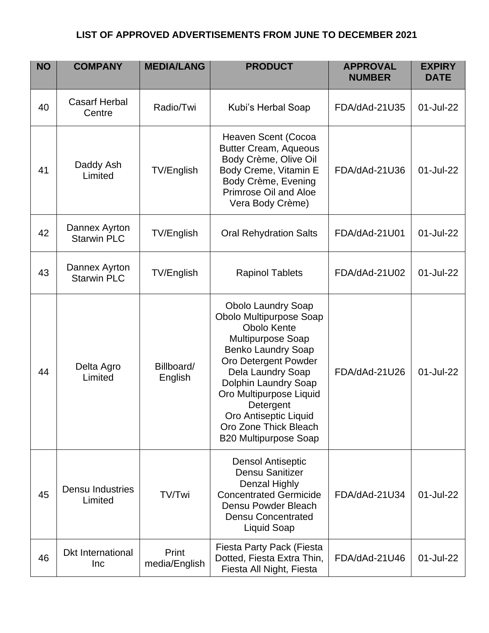| <b>NO</b> | <b>COMPANY</b>                      | <b>MEDIA/LANG</b>      | <b>PRODUCT</b>                                                                                                                                                                                                                                                                                                                     | <b>APPROVAL</b><br><b>NUMBER</b> | <b>EXPIRY</b><br><b>DATE</b> |
|-----------|-------------------------------------|------------------------|------------------------------------------------------------------------------------------------------------------------------------------------------------------------------------------------------------------------------------------------------------------------------------------------------------------------------------|----------------------------------|------------------------------|
| 40        | <b>Casarf Herbal</b><br>Centre      | Radio/Twi              | Kubi's Herbal Soap                                                                                                                                                                                                                                                                                                                 | FDA/dAd-21U35                    | 01-Jul-22                    |
| 41        | Daddy Ash<br>Limited                | <b>TV/English</b>      | Heaven Scent (Cocoa<br><b>Butter Cream, Aqueous</b><br>Body Crème, Olive Oil<br>Body Creme, Vitamin E<br>Body Crème, Evening<br>Primrose Oil and Aloe<br>Vera Body Crème)                                                                                                                                                          | FDA/dAd-21U36                    | 01-Jul-22                    |
| 42        | Dannex Ayrton<br><b>Starwin PLC</b> | TV/English             | <b>Oral Rehydration Salts</b>                                                                                                                                                                                                                                                                                                      | FDA/dAd-21U01                    | 01-Jul-22                    |
| 43        | Dannex Ayrton<br><b>Starwin PLC</b> | TV/English             | <b>Rapinol Tablets</b>                                                                                                                                                                                                                                                                                                             | FDA/dAd-21U02                    | 01-Jul-22                    |
| 44        | Delta Agro<br>Limited               | Billboard/<br>English  | <b>Obolo Laundry Soap</b><br>Obolo Multipurpose Soap<br><b>Obolo Kente</b><br><b>Multipurpose Soap</b><br><b>Benko Laundry Soap</b><br>Oro Detergent Powder<br>Dela Laundry Soap<br>Dolphin Laundry Soap<br>Oro Multipurpose Liquid<br>Detergent<br>Oro Antiseptic Liquid<br>Oro Zone Thick Bleach<br><b>B20 Multipurpose Soap</b> | FDA/dAd-21U26                    | 01-Jul-22                    |
| 45        | <b>Densu Industries</b><br>Limited  | TV/Twi                 | <b>Densol Antiseptic</b><br>Densu Sanitizer<br><b>Denzal Highly</b><br><b>Concentrated Germicide</b><br>Densu Powder Bleach<br><b>Densu Concentrated</b><br><b>Liquid Soap</b>                                                                                                                                                     | FDA/dAd-21U34                    | 01-Jul-22                    |
| 46        | <b>Dkt International</b><br>Inc     | Print<br>media/English | Fiesta Party Pack (Fiesta<br>Dotted, Fiesta Extra Thin,<br>Fiesta All Night, Fiesta                                                                                                                                                                                                                                                | FDA/dAd-21U46                    | 01-Jul-22                    |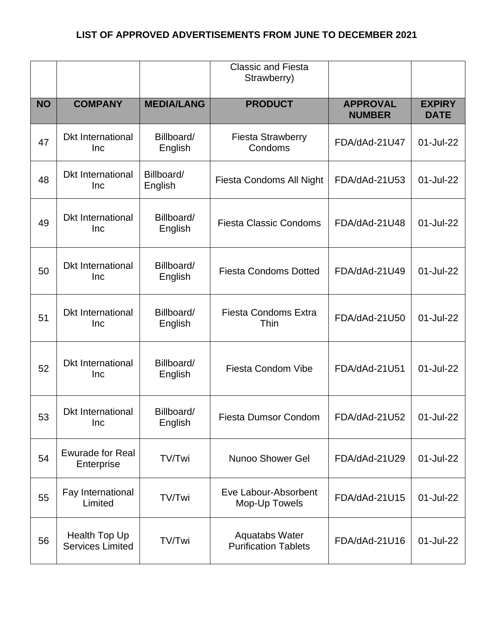|           |                                          |                       | <b>Classic and Fiesta</b><br>Strawberry)             |                                  |                              |
|-----------|------------------------------------------|-----------------------|------------------------------------------------------|----------------------------------|------------------------------|
| <b>NO</b> | <b>COMPANY</b>                           | <b>MEDIA/LANG</b>     | <b>PRODUCT</b>                                       | <b>APPROVAL</b><br><b>NUMBER</b> | <b>EXPIRY</b><br><b>DATE</b> |
| 47        | <b>Dkt International</b><br>Inc          | Billboard/<br>English | <b>Fiesta Strawberry</b><br>Condoms                  | FDA/dAd-21U47                    | 01-Jul-22                    |
| 48        | <b>Dkt International</b><br>Inc          | Billboard/<br>English | <b>Fiesta Condoms All Night</b>                      | FDA/dAd-21U53                    | 01-Jul-22                    |
| 49        | <b>Dkt International</b><br>Inc          | Billboard/<br>English | <b>Fiesta Classic Condoms</b>                        | FDA/dAd-21U48                    | 01-Jul-22                    |
| 50        | <b>Dkt International</b><br>Inc          | Billboard/<br>English | <b>Fiesta Condoms Dotted</b>                         | FDA/dAd-21U49                    | 01-Jul-22                    |
| 51        | <b>Dkt International</b><br>Inc          | Billboard/<br>English | <b>Fiesta Condoms Extra</b><br>Thin                  | FDA/dAd-21U50                    | 01-Jul-22                    |
| 52        | <b>Dkt International</b><br>Inc          | Billboard/<br>English | <b>Fiesta Condom Vibe</b>                            | FDA/dAd-21U51                    | 01-Jul-22                    |
| 53        | <b>Dkt International</b><br>Inc          | Billboard/<br>English | <b>Fiesta Dumsor Condom</b>                          | FDA/dAd-21U52                    | 01-Jul-22                    |
| 54        | <b>Ewurade for Real</b><br>Enterprise    | TV/Twi                | <b>Nunoo Shower Gel</b>                              | FDA/dAd-21U29                    | 01-Jul-22                    |
| 55        | Fay International<br>Limited             | TV/Twi                | Eve Labour-Absorbent<br>Mop-Up Towels                | FDA/dAd-21U15                    | 01-Jul-22                    |
| 56        | Health Top Up<br><b>Services Limited</b> | TV/Twi                | <b>Aquatabs Water</b><br><b>Purification Tablets</b> | FDA/dAd-21U16                    | 01-Jul-22                    |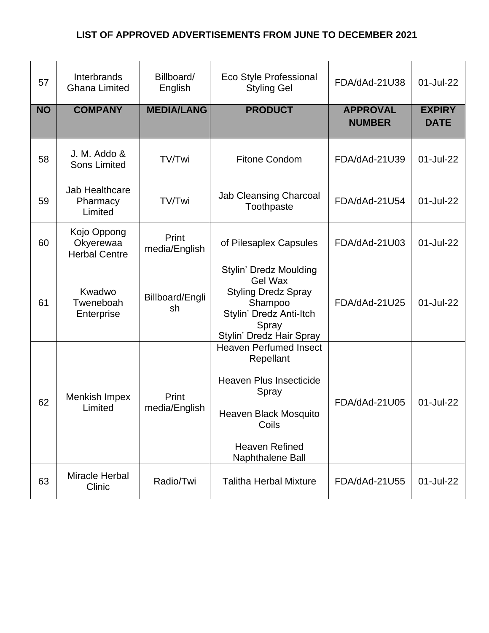| 57        | Interbrands<br><b>Ghana Limited</b>              | Billboard/<br>English  | Eco Style Professional<br><b>Styling Gel</b>                                                                                                                         | FDA/dAd-21U38                    | 01-Jul-22                    |
|-----------|--------------------------------------------------|------------------------|----------------------------------------------------------------------------------------------------------------------------------------------------------------------|----------------------------------|------------------------------|
| <b>NO</b> | <b>COMPANY</b>                                   | <b>MEDIA/LANG</b>      | <b>PRODUCT</b>                                                                                                                                                       | <b>APPROVAL</b><br><b>NUMBER</b> | <b>EXPIRY</b><br><b>DATE</b> |
| 58        | J. M. Addo &<br><b>Sons Limited</b>              | TV/Twi                 | <b>Fitone Condom</b>                                                                                                                                                 | FDA/dAd-21U39                    | 01-Jul-22                    |
| 59        | Jab Healthcare<br>Pharmacy<br>Limited            | TV/Twi                 | <b>Jab Cleansing Charcoal</b><br>Toothpaste                                                                                                                          | FDA/dAd-21U54                    | 01-Jul-22                    |
| 60        | Kojo Oppong<br>Okyerewaa<br><b>Herbal Centre</b> | Print<br>media/English | of Pilesaplex Capsules                                                                                                                                               | FDA/dAd-21U03                    | 01-Jul-22                    |
| 61        | Kwadwo<br>Tweneboah<br>Enterprise                | Billboard/Engli<br>sh  | <b>Stylin' Dredz Moulding</b><br><b>Gel Wax</b><br><b>Styling Dredz Spray</b><br>Shampoo<br>Stylin' Dredz Anti-Itch<br>Spray<br>Stylin' Dredz Hair Spray             | FDA/dAd-21U25                    | 01-Jul-22                    |
| 62        | Menkish Impex<br>Limited                         | Print<br>media/English | <b>Heaven Perfumed Insect</b><br>Repellant<br><b>Heaven Plus Insecticide</b><br>Spray<br>Heaven Black Mosquito<br>Coils<br><b>Heaven Refined</b><br>Naphthalene Ball | FDA/dAd-21U05                    | 01-Jul-22                    |
| 63        | Miracle Herbal<br>Clinic                         | Radio/Twi              | <b>Talitha Herbal Mixture</b>                                                                                                                                        | FDA/dAd-21U55                    | 01-Jul-22                    |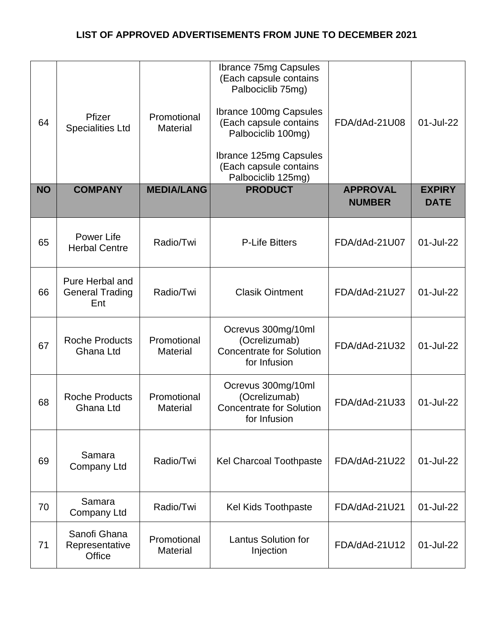| 64<br><b>NO</b> | Pfizer<br><b>Specialities Ltd</b><br><b>COMPANY</b> | Promotional<br><b>Material</b><br><b>MEDIA/LANG</b> | <b>Ibrance 75mg Capsules</b><br>(Each capsule contains<br>Palbociclib 75mg)<br><b>Ibrance 100mg Capsules</b><br>(Each capsule contains<br>Palbociclib 100mg)<br><b>Ibrance 125mg Capsules</b><br>(Each capsule contains<br>Palbociclib 125mg)<br><b>PRODUCT</b> | FDA/dAd-21U08<br><b>APPROVAL</b> | 01-Jul-22<br><b>EXPIRY</b> |
|-----------------|-----------------------------------------------------|-----------------------------------------------------|-----------------------------------------------------------------------------------------------------------------------------------------------------------------------------------------------------------------------------------------------------------------|----------------------------------|----------------------------|
|                 |                                                     |                                                     |                                                                                                                                                                                                                                                                 | <b>NUMBER</b>                    | <b>DATE</b>                |
| 65              | Power Life<br><b>Herbal Centre</b>                  | Radio/Twi                                           | <b>P-Life Bitters</b>                                                                                                                                                                                                                                           | FDA/dAd-21U07                    | 01-Jul-22                  |
| 66              | Pure Herbal and<br><b>General Trading</b><br>Ent    | Radio/Twi                                           | <b>Clasik Ointment</b>                                                                                                                                                                                                                                          | FDA/dAd-21U27                    | 01-Jul-22                  |
| 67              | <b>Roche Products</b><br>Ghana Ltd                  | Promotional<br><b>Material</b>                      | Ocrevus 300mg/10ml<br>(Ocrelizumab)<br><b>Concentrate for Solution</b><br>for Infusion                                                                                                                                                                          | FDA/dAd-21U32                    | 01-Jul-22                  |
| 68              | <b>Roche Products</b><br>Ghana Ltd                  | Promotional<br><b>Material</b>                      | Ocrevus 300mg/10ml<br>(Ocrelizumab)<br><b>Concentrate for Solution</b><br>for Infusion                                                                                                                                                                          | FDA/dAd-21U33                    | 01-Jul-22                  |
| 69              | Samara<br><b>Company Ltd</b>                        | Radio/Twi                                           | <b>Kel Charcoal Toothpaste</b>                                                                                                                                                                                                                                  | FDA/dAd-21U22                    | 01-Jul-22                  |
| 70              | Samara<br><b>Company Ltd</b>                        | Radio/Twi                                           | <b>Kel Kids Toothpaste</b>                                                                                                                                                                                                                                      | FDA/dAd-21U21                    | 01-Jul-22                  |
| 71              | Sanofi Ghana<br>Representative<br>Office            | Promotional<br><b>Material</b>                      | <b>Lantus Solution for</b><br>Injection                                                                                                                                                                                                                         | FDA/dAd-21U12                    | 01-Jul-22                  |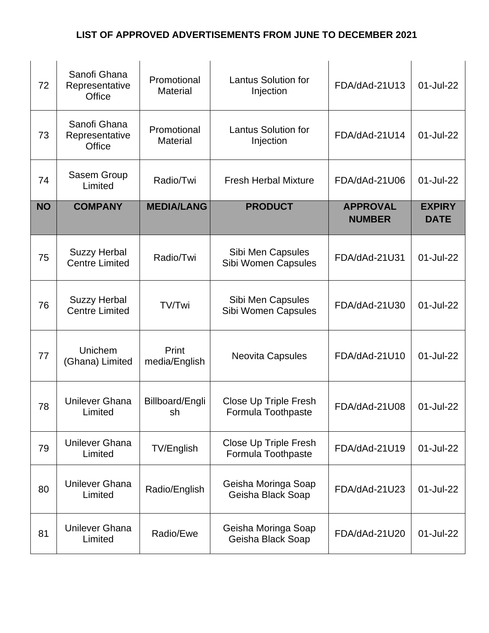| 72        | Sanofi Ghana<br>Representative<br>Office     | Promotional<br><b>Material</b> | <b>Lantus Solution for</b><br>Injection     | FDA/dAd-21U13                    | 01-Jul-22                    |
|-----------|----------------------------------------------|--------------------------------|---------------------------------------------|----------------------------------|------------------------------|
| 73        | Sanofi Ghana<br>Representative<br>Office     | Promotional<br><b>Material</b> | <b>Lantus Solution for</b><br>Injection     | FDA/dAd-21U14                    | 01-Jul-22                    |
| 74        | Sasem Group<br>Limited                       | Radio/Twi                      | <b>Fresh Herbal Mixture</b>                 | FDA/dAd-21U06                    | 01-Jul-22                    |
| <b>NO</b> | <b>COMPANY</b>                               | <b>MEDIA/LANG</b>              | <b>PRODUCT</b>                              | <b>APPROVAL</b><br><b>NUMBER</b> | <b>EXPIRY</b><br><b>DATE</b> |
| 75        | <b>Suzzy Herbal</b><br><b>Centre Limited</b> | Radio/Twi                      | Sibi Men Capsules<br>Sibi Women Capsules    | FDA/dAd-21U31                    | 01-Jul-22                    |
| 76        | <b>Suzzy Herbal</b><br><b>Centre Limited</b> | TV/Twi                         | Sibi Men Capsules<br>Sibi Women Capsules    | FDA/dAd-21U30                    | 01-Jul-22                    |
| 77        | Unichem<br>(Ghana) Limited                   | Print<br>media/English         | <b>Neovita Capsules</b>                     | FDA/dAd-21U10                    | 01-Jul-22                    |
| 78        | <b>Unilever Ghana</b><br>Limited             | Billboard/Engli<br>sh          | Close Up Triple Fresh<br>Formula Toothpaste | FDA/dAd-21U08                    | 01-Jul-22                    |
| 79        | Unilever Ghana<br>Limited                    | TV/English                     | Close Up Triple Fresh<br>Formula Toothpaste | FDA/dAd-21U19                    | 01-Jul-22                    |
| 80        | <b>Unilever Ghana</b><br>Limited             | Radio/English                  | Geisha Moringa Soap<br>Geisha Black Soap    | FDA/dAd-21U23                    | 01-Jul-22                    |
| 81        | Unilever Ghana<br>Limited                    | Radio/Ewe                      | Geisha Moringa Soap<br>Geisha Black Soap    | FDA/dAd-21U20                    | 01-Jul-22                    |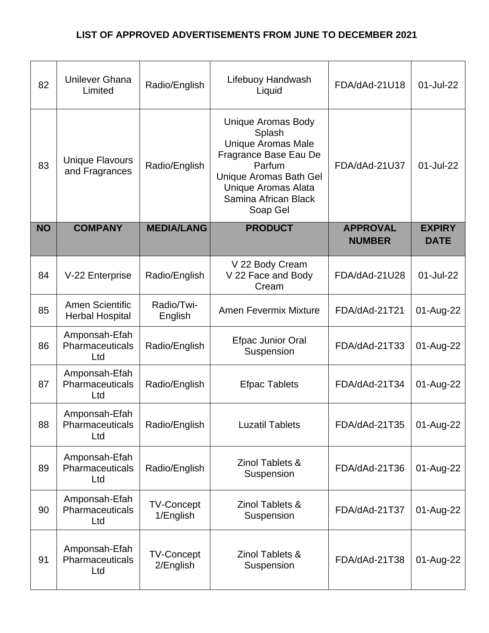| 82        | <b>Unilever Ghana</b><br>Limited                 | Radio/English                  | Lifebuoy Handwash<br>Liquid                                                                                                                                                                     | FDA/dAd-21U18                    | 01-Jul-22                    |
|-----------|--------------------------------------------------|--------------------------------|-------------------------------------------------------------------------------------------------------------------------------------------------------------------------------------------------|----------------------------------|------------------------------|
| 83        | <b>Unique Flavours</b><br>and Fragrances         | Radio/English                  | <b>Unique Aromas Body</b><br>Splash<br><b>Unique Aromas Male</b><br>Fragrance Base Eau De<br>Parfum<br>Unique Aromas Bath Gel<br><b>Unique Aromas Alata</b><br>Samina African Black<br>Soap Gel | FDA/dAd-21U37                    | 01-Jul-22                    |
| <b>NO</b> | <b>COMPANY</b>                                   | <b>MEDIA/LANG</b>              | <b>PRODUCT</b>                                                                                                                                                                                  | <b>APPROVAL</b><br><b>NUMBER</b> | <b>EXPIRY</b><br><b>DATE</b> |
| 84        | V-22 Enterprise                                  | Radio/English                  | V 22 Body Cream<br>V 22 Face and Body<br>Cream                                                                                                                                                  | FDA/dAd-21U28                    | 01-Jul-22                    |
| 85        | <b>Amen Scientific</b><br><b>Herbal Hospital</b> | Radio/Twi-<br>English          | <b>Amen Fevermix Mixture</b>                                                                                                                                                                    | FDA/dAd-21T21                    | 01-Aug-22                    |
| 86        | Amponsah-Efah<br>Pharmaceuticals<br>Ltd          | Radio/English                  | <b>Efpac Junior Oral</b><br>Suspension                                                                                                                                                          | FDA/dAd-21T33                    | 01-Aug-22                    |
| 87        | Amponsah-Efah<br>Pharmaceuticals<br>Ltd          | Radio/English                  | <b>Efpac Tablets</b>                                                                                                                                                                            | FDA/dAd-21T34                    | 01-Aug-22                    |
| 88        | Amponsah-Efah<br>Pharmaceuticals<br>Ltd          | Radio/English                  | <b>Luzatil Tablets</b>                                                                                                                                                                          | FDA/dAd-21T35                    | 01-Aug-22                    |
| 89        | Amponsah-Efah<br>Pharmaceuticals<br>Ltd          | Radio/English                  | Zinol Tablets &<br>Suspension                                                                                                                                                                   | FDA/dAd-21T36                    | 01-Aug-22                    |
| 90        | Amponsah-Efah<br>Pharmaceuticals<br>Ltd          | <b>TV-Concept</b><br>1/English | <b>Zinol Tablets &amp;</b><br>Suspension                                                                                                                                                        | FDA/dAd-21T37                    | 01-Aug-22                    |
| 91        | Amponsah-Efah<br>Pharmaceuticals<br>Ltd          | <b>TV-Concept</b><br>2/English | Zinol Tablets &<br>Suspension                                                                                                                                                                   | FDA/dAd-21T38                    | 01-Aug-22                    |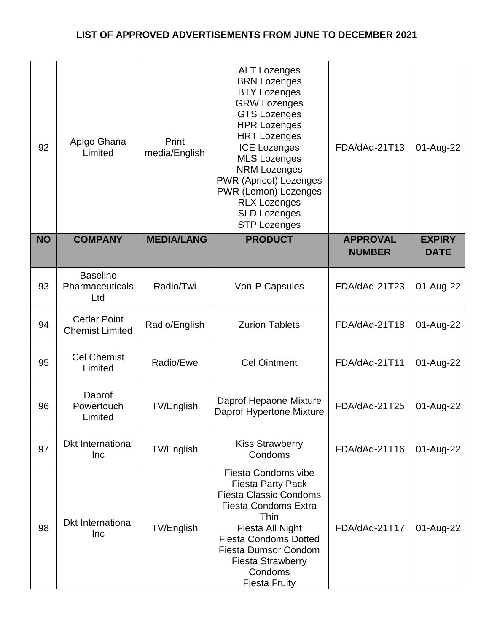| 92        | Aplgo Ghana<br>Limited                       | Print<br>media/English | <b>ALT Lozenges</b><br><b>BRN Lozenges</b><br><b>BTY Lozenges</b><br><b>GRW Lozenges</b><br><b>GTS Lozenges</b><br><b>HPR Lozenges</b><br><b>HRT Lozenges</b><br><b>ICE Lozenges</b><br><b>MLS Lozenges</b><br><b>NRM Lozenges</b><br><b>PWR (Apricot) Lozenges</b><br>PWR (Lemon) Lozenges<br><b>RLX Lozenges</b><br><b>SLD Lozenges</b><br><b>STP Lozenges</b> | FDA/dAd-21T13                    | 01-Aug-22                    |
|-----------|----------------------------------------------|------------------------|------------------------------------------------------------------------------------------------------------------------------------------------------------------------------------------------------------------------------------------------------------------------------------------------------------------------------------------------------------------|----------------------------------|------------------------------|
| <b>NO</b> | <b>COMPANY</b>                               | <b>MEDIA/LANG</b>      | <b>PRODUCT</b>                                                                                                                                                                                                                                                                                                                                                   | <b>APPROVAL</b><br><b>NUMBER</b> | <b>EXPIRY</b><br><b>DATE</b> |
| 93        | <b>Baseline</b><br>Pharmaceuticals<br>Ltd    | Radio/Twi              | Von-P Capsules                                                                                                                                                                                                                                                                                                                                                   | FDA/dAd-21T23                    | 01-Aug-22                    |
| 94        | <b>Cedar Point</b><br><b>Chemist Limited</b> | Radio/English          | <b>Zurion Tablets</b>                                                                                                                                                                                                                                                                                                                                            | FDA/dAd-21T18                    | 01-Aug-22                    |
| 95        | <b>Cel Chemist</b><br>Limited                | Radio/Ewe              | <b>Cel Ointment</b>                                                                                                                                                                                                                                                                                                                                              | FDA/dAd-21T11                    | 01-Aug-22                    |
| 96        | Daprof<br>Powertouch<br>Limited              | TV/English             | Daprof Hepaone Mixture<br><b>Daprof Hypertone Mixture</b>                                                                                                                                                                                                                                                                                                        | FDA/dAd-21T25                    | 01-Aug-22                    |
| 97        | <b>Dkt International</b><br><b>Inc</b>       | TV/English             | <b>Kiss Strawberry</b><br>Condoms                                                                                                                                                                                                                                                                                                                                | FDA/dAd-21T16                    | 01-Aug-22                    |
| 98        | <b>Dkt International</b><br><b>Inc</b>       | <b>TV/English</b>      | <b>Fiesta Condoms vibe</b><br><b>Fiesta Party Pack</b><br><b>Fiesta Classic Condoms</b><br><b>Fiesta Condoms Extra</b><br>Thin<br>Fiesta All Night<br><b>Fiesta Condoms Dotted</b><br><b>Fiesta Dumsor Condom</b><br><b>Fiesta Strawberry</b><br>Condoms<br><b>Fiesta Fruity</b>                                                                                 | FDA/dAd-21T17                    | 01-Aug-22                    |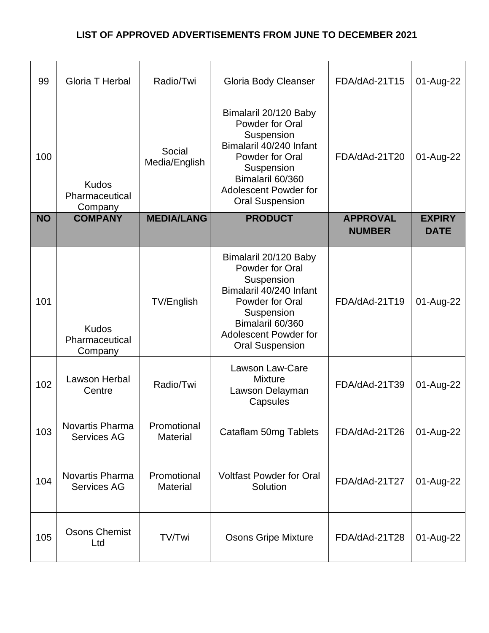| 99        | Gloria T Herbal                              | Radio/Twi                      | <b>Gloria Body Cleanser</b>                                                                                                                                                                      | FDA/dAd-21T15                    | 01-Aug-22                    |
|-----------|----------------------------------------------|--------------------------------|--------------------------------------------------------------------------------------------------------------------------------------------------------------------------------------------------|----------------------------------|------------------------------|
| 100       | <b>Kudos</b><br>Pharmaceutical<br>Company    | Social<br>Media/English        | Bimalaril 20/120 Baby<br>Powder for Oral<br>Suspension<br>Bimalaril 40/240 Infant<br>Powder for Oral<br>Suspension<br>Bimalaril 60/360<br>Adolescent Powder for<br><b>Oral Suspension</b>        | FDA/dAd-21T20                    | 01-Aug-22                    |
| <b>NO</b> | <b>COMPANY</b>                               | <b>MEDIA/LANG</b>              | <b>PRODUCT</b>                                                                                                                                                                                   | <b>APPROVAL</b><br><b>NUMBER</b> | <b>EXPIRY</b><br><b>DATE</b> |
| 101       | <b>Kudos</b><br>Pharmaceutical<br>Company    | <b>TV/English</b>              | Bimalaril 20/120 Baby<br>Powder for Oral<br>Suspension<br>Bimalaril 40/240 Infant<br>Powder for Oral<br>Suspension<br>Bimalaril 60/360<br><b>Adolescent Powder for</b><br><b>Oral Suspension</b> | FDA/dAd-21T19                    | 01-Aug-22                    |
| 102       | Lawson Herbal<br>Centre                      | Radio/Twi                      | <b>Lawson Law-Care</b><br><b>Mixture</b><br>Lawson Delayman<br>Capsules                                                                                                                          | FDA/dAd-21T39                    | 01-Aug-22                    |
| 103       | <b>Novartis Pharma</b><br><b>Services AG</b> | Promotional<br><b>Material</b> | Cataflam 50mg Tablets                                                                                                                                                                            | FDA/dAd-21T26                    | 01-Aug-22                    |
| 104       | <b>Novartis Pharma</b><br><b>Services AG</b> | Promotional<br><b>Material</b> | <b>Voltfast Powder for Oral</b><br>Solution                                                                                                                                                      | FDA/dAd-21T27                    | 01-Aug-22                    |
| 105       | <b>Osons Chemist</b><br>Ltd                  | TV/Twi                         | <b>Osons Gripe Mixture</b>                                                                                                                                                                       | FDA/dAd-21T28                    | 01-Aug-22                    |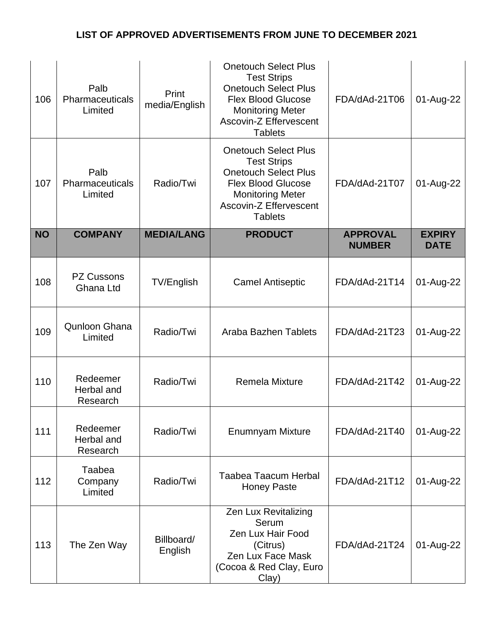| 106       | Palb<br>Pharmaceuticals<br>Limited | Print<br>media/English | <b>Onetouch Select Plus</b><br><b>Test Strips</b><br><b>Onetouch Select Plus</b><br><b>Flex Blood Glucose</b><br><b>Monitoring Meter</b><br><b>Ascovin-Z Effervescent</b><br><b>Tablets</b> | FDA/dAd-21T06                    | 01-Aug-22                    |
|-----------|------------------------------------|------------------------|---------------------------------------------------------------------------------------------------------------------------------------------------------------------------------------------|----------------------------------|------------------------------|
| 107       | Palb<br>Pharmaceuticals<br>Limited | Radio/Twi              | <b>Onetouch Select Plus</b><br><b>Test Strips</b><br><b>Onetouch Select Plus</b><br><b>Flex Blood Glucose</b><br><b>Monitoring Meter</b><br><b>Ascovin-Z Effervescent</b><br><b>Tablets</b> | FDA/dAd-21T07                    | 01-Aug-22                    |
| <b>NO</b> | <b>COMPANY</b>                     | <b>MEDIA/LANG</b>      | <b>PRODUCT</b>                                                                                                                                                                              | <b>APPROVAL</b><br><b>NUMBER</b> | <b>EXPIRY</b><br><b>DATE</b> |
| 108       | <b>PZ Cussons</b><br>Ghana Ltd     | <b>TV/English</b>      | <b>Camel Antiseptic</b>                                                                                                                                                                     | FDA/dAd-21T14                    | 01-Aug-22                    |
| 109       | Qunloon Ghana<br>Limited           | Radio/Twi              | <b>Araba Bazhen Tablets</b>                                                                                                                                                                 | FDA/dAd-21T23                    | 01-Aug-22                    |
| 110       | Redeemer<br>Herbal and<br>Research | Radio/Twi              | <b>Remela Mixture</b>                                                                                                                                                                       | FDA/dAd-21T42                    | 01-Aug-22                    |
| 111       | Redeemer<br>Herbal and<br>Research | Radio/Twi              | <b>Enumnyam Mixture</b>                                                                                                                                                                     | FDA/dAd-21T40                    | 01-Aug-22                    |
| 112       | Taabea<br>Company<br>Limited       | Radio/Twi              | <b>Taabea Taacum Herbal</b><br><b>Honey Paste</b>                                                                                                                                           | FDA/dAd-21T12                    | 01-Aug-22                    |
| 113       | The Zen Way                        | Billboard/<br>English  | <b>Zen Lux Revitalizing</b><br>Serum<br>Zen Lux Hair Food<br>(Citrus)<br>Zen Lux Face Mask<br>(Cocoa & Red Clay, Euro<br>Clay)                                                              | FDA/dAd-21T24                    | 01-Aug-22                    |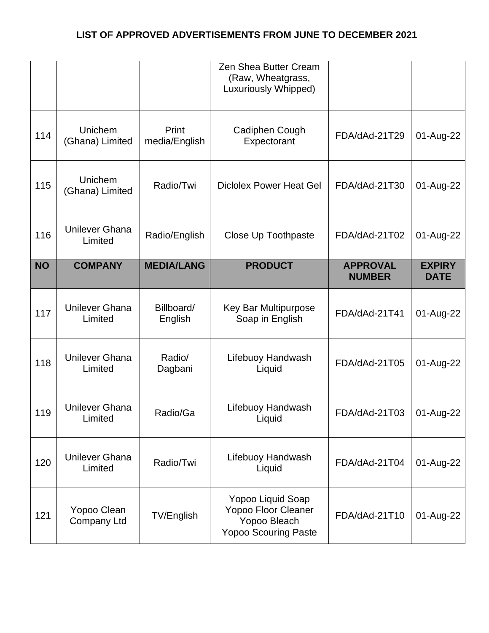|           |                                  |                        | Zen Shea Butter Cream<br>(Raw, Wheatgrass,<br><b>Luxuriously Whipped)</b>               |                                  |                              |
|-----------|----------------------------------|------------------------|-----------------------------------------------------------------------------------------|----------------------------------|------------------------------|
| 114       | Unichem<br>(Ghana) Limited       | Print<br>media/English | Cadiphen Cough<br>Expectorant                                                           | FDA/dAd-21T29                    | 01-Aug-22                    |
| 115       | Unichem<br>(Ghana) Limited       | Radio/Twi              | <b>Diclolex Power Heat Gel</b>                                                          | FDA/dAd-21T30                    | 01-Aug-22                    |
| 116       | <b>Unilever Ghana</b><br>Limited | Radio/English          | Close Up Toothpaste                                                                     | FDA/dAd-21T02                    | 01-Aug-22                    |
| <b>NO</b> | <b>COMPANY</b>                   | <b>MEDIA/LANG</b>      | <b>PRODUCT</b>                                                                          | <b>APPROVAL</b><br><b>NUMBER</b> | <b>EXPIRY</b><br><b>DATE</b> |
| 117       | <b>Unilever Ghana</b><br>Limited | Billboard/<br>English  | Key Bar Multipurpose<br>Soap in English                                                 | FDA/dAd-21T41                    | 01-Aug-22                    |
| 118       | <b>Unilever Ghana</b><br>Limited | Radio/<br>Dagbani      | Lifebuoy Handwash<br>Liquid                                                             | FDA/dAd-21T05                    | 01-Aug-22                    |
| 119       | <b>Unilever Ghana</b><br>Limited | Radio/Ga               | Lifebuoy Handwash<br>Liquid                                                             | FDA/dAd-21T03                    | 01-Aug-22                    |
| 120       | <b>Unilever Ghana</b><br>Limited | Radio/Twi              | Lifebuoy Handwash<br>Liquid                                                             | FDA/dAd-21T04                    | 01-Aug-22                    |
| 121       | Yopoo Clean<br>Company Ltd       | TV/English             | Yopoo Liquid Soap<br>Yopoo Floor Cleaner<br>Yopoo Bleach<br><b>Yopoo Scouring Paste</b> | FDA/dAd-21T10                    | 01-Aug-22                    |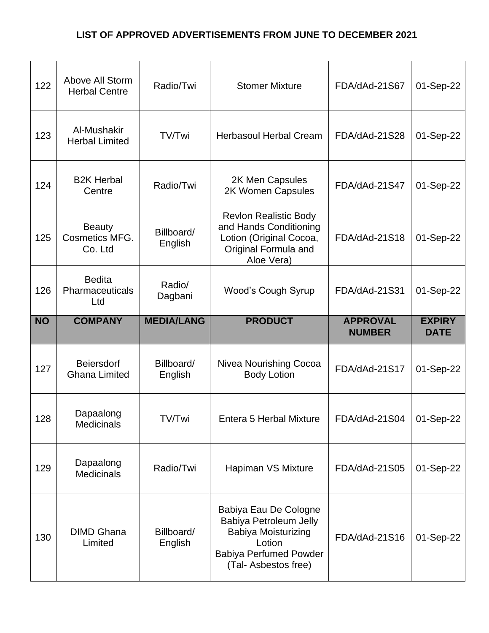| 122       | Above All Storm<br><b>Herbal Centre</b>    | Radio/Twi             | <b>Stomer Mixture</b>                                                                                                   | FDA/dAd-21S67                    | 01-Sep-22                    |
|-----------|--------------------------------------------|-----------------------|-------------------------------------------------------------------------------------------------------------------------|----------------------------------|------------------------------|
| 123       | Al-Mushakir<br><b>Herbal Limited</b>       | TV/Twi                | <b>Herbasoul Herbal Cream</b>                                                                                           | FDA/dAd-21S28                    | 01-Sep-22                    |
| 124       | <b>B2K Herbal</b><br>Centre                | Radio/Twi             | 2K Men Capsules<br>2K Women Capsules                                                                                    | FDA/dAd-21S47                    | 01-Sep-22                    |
| 125       | <b>Beauty</b><br>Cosmetics MFG.<br>Co. Ltd | Billboard/<br>English | <b>Revlon Realistic Body</b><br>and Hands Conditioning<br>Lotion (Original Cocoa,<br>Original Formula and<br>Aloe Vera) | FDA/dAd-21S18                    | 01-Sep-22                    |
| 126       | <b>Bedita</b><br>Pharmaceuticals<br>Ltd    | Radio/<br>Dagbani     | <b>Wood's Cough Syrup</b>                                                                                               | FDA/dAd-21S31                    | 01-Sep-22                    |
| <b>NO</b> | <b>COMPANY</b>                             | <b>MEDIA/LANG</b>     |                                                                                                                         |                                  |                              |
|           |                                            |                       | <b>PRODUCT</b>                                                                                                          | <b>APPROVAL</b><br><b>NUMBER</b> | <b>EXPIRY</b><br><b>DATE</b> |
| 127       | Beiersdorf<br><b>Ghana Limited</b>         | Billboard/<br>English | Nivea Nourishing Cocoa<br><b>Body Lotion</b>                                                                            | FDA/dAd-21S17                    | 01-Sep-22                    |
| 128       | Dapaalong<br><b>Medicinals</b>             | TV/Twi                | Entera 5 Herbal Mixture                                                                                                 | FDA/dAd-21S04                    | 01-Sep-22                    |
| 129       | Dapaalong<br><b>Medicinals</b>             | Radio/Twi             | Hapiman VS Mixture                                                                                                      | FDA/dAd-21S05                    | 01-Sep-22                    |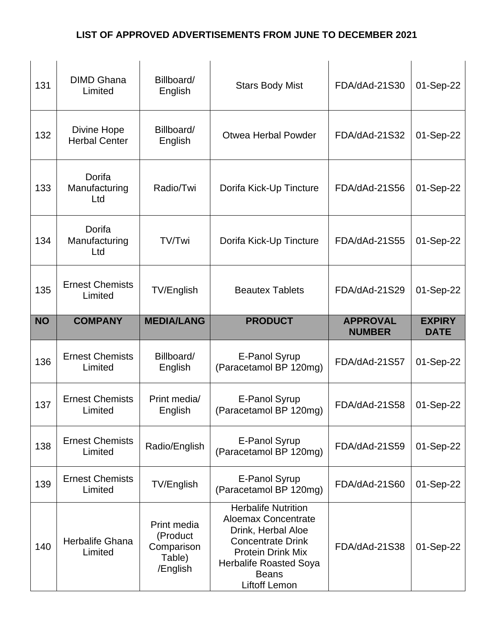| 131       | <b>DIMD Ghana</b><br>Limited               | Billboard/<br>English   | <b>Stars Body Mist</b>                         | FDA/dAd-21S30   | 01-Sep-22     |
|-----------|--------------------------------------------|-------------------------|------------------------------------------------|-----------------|---------------|
| 132       | <b>Divine Hope</b><br><b>Herbal Center</b> | Billboard/<br>English   | <b>Otwea Herbal Powder</b>                     | FDA/dAd-21S32   | 01-Sep-22     |
| 133       | Dorifa<br>Manufacturing<br>Ltd             | Radio/Twi               | Dorifa Kick-Up Tincture                        | FDA/dAd-21S56   | 01-Sep-22     |
| 134       | Dorifa<br>Manufacturing<br>Ltd             | TV/Twi                  | Dorifa Kick-Up Tincture                        | FDA/dAd-21S55   | 01-Sep-22     |
| 135       | <b>Ernest Chemists</b><br>Limited          | TV/English              | <b>Beautex Tablets</b>                         | FDA/dAd-21S29   | 01-Sep-22     |
| <b>NO</b> | <b>COMPANY</b>                             | <b>MEDIA/LANG</b>       | <b>PRODUCT</b>                                 | <b>APPROVAL</b> | <b>EXPIRY</b> |
|           |                                            |                         |                                                | <b>NUMBER</b>   | <b>DATE</b>   |
| 136       | <b>Ernest Chemists</b><br>Limited          | Billboard/<br>English   | E-Panol Syrup<br>(Paracetamol BP 120mg)        | FDA/dAd-21S57   | 01-Sep-22     |
| 137       | <b>Ernest Chemists</b><br>Limited          | Print media/<br>English | E-Panol Syrup<br>(Paracetamol BP 120mg)        | FDA/dAd-21S58   | 01-Sep-22     |
| 138       | <b>Ernest Chemists</b><br>Limited          | Radio/English           | <b>E-Panol Syrup</b><br>(Paracetamol BP 120mg) | FDA/dAd-21S59   | 01-Sep-22     |
| 139       | <b>Ernest Chemists</b><br>Limited          | TV/English              | <b>E-Panol Syrup</b><br>(Paracetamol BP 120mg) | FDA/dAd-21S60   | 01-Sep-22     |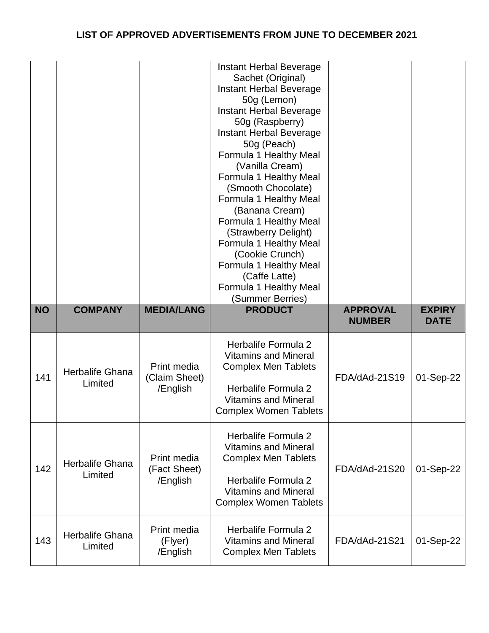|           |                                   |                                          | Instant Herbal Beverage<br>Sachet (Original)<br>Instant Herbal Beverage<br>50g (Lemon)<br>Instant Herbal Beverage<br>50g (Raspberry)<br>Instant Herbal Beverage<br>50g (Peach)<br>Formula 1 Healthy Meal<br>(Vanilla Cream)<br>Formula 1 Healthy Meal<br>(Smooth Chocolate)<br>Formula 1 Healthy Meal<br>(Banana Cream)<br>Formula 1 Healthy Meal<br>(Strawberry Delight)<br>Formula 1 Healthy Meal<br>(Cookie Crunch)<br>Formula 1 Healthy Meal<br>(Caffe Latte)<br>Formula 1 Healthy Meal<br>(Summer Berries) |                                  |                              |
|-----------|-----------------------------------|------------------------------------------|-----------------------------------------------------------------------------------------------------------------------------------------------------------------------------------------------------------------------------------------------------------------------------------------------------------------------------------------------------------------------------------------------------------------------------------------------------------------------------------------------------------------|----------------------------------|------------------------------|
| <b>NO</b> | <b>COMPANY</b>                    | <b>MEDIA/LANG</b>                        | <b>PRODUCT</b>                                                                                                                                                                                                                                                                                                                                                                                                                                                                                                  | <b>APPROVAL</b><br><b>NUMBER</b> | <b>EXPIRY</b><br><b>DATE</b> |
| 141       | <b>Herbalife Ghana</b><br>Limited | Print media<br>(Claim Sheet)<br>/English | Herbalife Formula 2<br><b>Vitamins and Mineral</b><br><b>Complex Men Tablets</b><br>Herbalife Formula 2<br><b>Vitamins and Mineral</b><br><b>Complex Women Tablets</b>                                                                                                                                                                                                                                                                                                                                          | FDA/dAd-21S19                    | 01-Sep-22                    |
| 142       | Herbalife Ghana<br>Limited        | Print media<br>(Fact Sheet)<br>/English  | Herbalife Formula 2<br><b>Vitamins and Mineral</b><br><b>Complex Men Tablets</b><br>Herbalife Formula 2<br><b>Vitamins and Mineral</b><br><b>Complex Women Tablets</b>                                                                                                                                                                                                                                                                                                                                          | FDA/dAd-21S20                    | 01-Sep-22                    |
| 143       | <b>Herbalife Ghana</b><br>Limited | Print media<br>(Flyer)<br>/English       | Herbalife Formula 2<br><b>Vitamins and Mineral</b><br><b>Complex Men Tablets</b>                                                                                                                                                                                                                                                                                                                                                                                                                                | FDA/dAd-21S21                    | 01-Sep-22                    |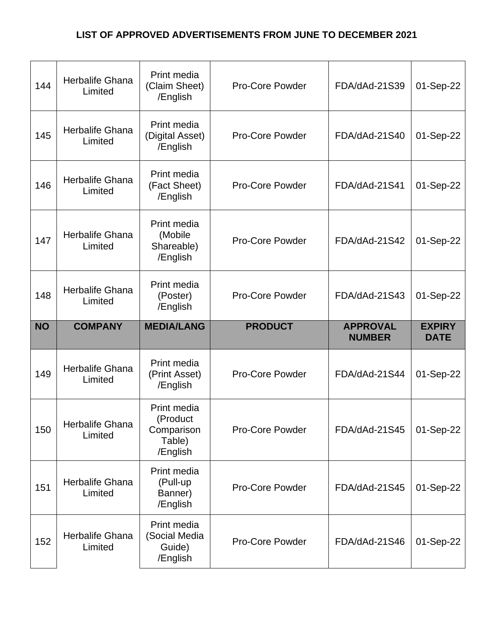| 144       | Herbalife Ghana<br>Limited        | Print media<br>(Claim Sheet)<br>/English                    | <b>Pro-Core Powder</b> | FDA/dAd-21S39                    | 01-Sep-22                    |
|-----------|-----------------------------------|-------------------------------------------------------------|------------------------|----------------------------------|------------------------------|
| 145       | Herbalife Ghana<br>Limited        | Print media<br>(Digital Asset)<br>/English                  | <b>Pro-Core Powder</b> | FDA/dAd-21S40                    | 01-Sep-22                    |
| 146       | <b>Herbalife Ghana</b><br>Limited | Print media<br>(Fact Sheet)<br>/English                     | <b>Pro-Core Powder</b> | FDA/dAd-21S41                    | 01-Sep-22                    |
| 147       | <b>Herbalife Ghana</b><br>Limited | Print media<br>(Mobile<br>Shareable)<br>/English            | <b>Pro-Core Powder</b> | FDA/dAd-21S42                    | 01-Sep-22                    |
| 148       | <b>Herbalife Ghana</b><br>Limited | Print media<br>(Poster)<br>/English                         | <b>Pro-Core Powder</b> | FDA/dAd-21S43                    | 01-Sep-22                    |
|           |                                   |                                                             |                        |                                  |                              |
| <b>NO</b> | <b>COMPANY</b>                    | <b>MEDIA/LANG</b>                                           | <b>PRODUCT</b>         | <b>APPROVAL</b><br><b>NUMBER</b> | <b>EXPIRY</b><br><b>DATE</b> |
| 149       | Herbalife Ghana<br>Limited        | Print media<br>(Print Asset)<br>/English                    | <b>Pro-Core Powder</b> | FDA/dAd-21S44                    | 01-Sep-22                    |
| 150       | Herbalife Ghana<br>Limited        | Print media<br>(Product<br>Comparison<br>Table)<br>/English | <b>Pro-Core Powder</b> | FDA/dAd-21S45                    | 01-Sep-22                    |
| 151       | Herbalife Ghana<br>Limited        | Print media<br>(Pull-up<br>Banner)<br>/English              | <b>Pro-Core Powder</b> | FDA/dAd-21S45                    | 01-Sep-22                    |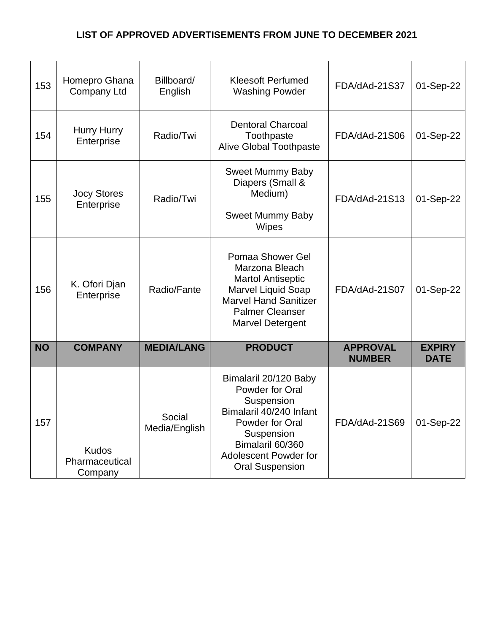| 153       | Homepro Ghana<br><b>Company Ltd</b>       | Billboard/<br>English   | <b>Kleesoft Perfumed</b><br><b>Washing Powder</b>                                                                                                                                                | FDA/dAd-21S37                    | 01-Sep-22                    |
|-----------|-------------------------------------------|-------------------------|--------------------------------------------------------------------------------------------------------------------------------------------------------------------------------------------------|----------------------------------|------------------------------|
| 154       | Hurry Hurry<br>Enterprise                 | Radio/Twi               | <b>Dentoral Charcoal</b><br>Toothpaste<br><b>Alive Global Toothpaste</b>                                                                                                                         | FDA/dAd-21S06                    | 01-Sep-22                    |
| 155       | <b>Jocy Stores</b><br>Enterprise          | Radio/Twi               | <b>Sweet Mummy Baby</b><br>Diapers (Small &<br>Medium)<br><b>Sweet Mummy Baby</b><br>Wipes                                                                                                       | FDA/dAd-21S13                    | 01-Sep-22                    |
| 156       | K. Ofori Djan<br>Enterprise               | Radio/Fante             | Pomaa Shower Gel<br>Marzona Bleach<br><b>Martol Antiseptic</b><br>Marvel Liquid Soap<br><b>Marvel Hand Sanitizer</b><br><b>Palmer Cleanser</b><br><b>Marvel Detergent</b>                        | FDA/dAd-21S07                    | 01-Sep-22                    |
| <b>NO</b> | <b>COMPANY</b>                            | <b>MEDIA/LANG</b>       | <b>PRODUCT</b>                                                                                                                                                                                   | <b>APPROVAL</b><br><b>NUMBER</b> | <b>EXPIRY</b><br><b>DATE</b> |
| 157       | <b>Kudos</b><br>Pharmaceutical<br>Company | Social<br>Media/English | Bimalaril 20/120 Baby<br>Powder for Oral<br>Suspension<br>Bimalaril 40/240 Infant<br>Powder for Oral<br>Suspension<br>Bimalaril 60/360<br><b>Adolescent Powder for</b><br><b>Oral Suspension</b> | FDA/dAd-21S69                    | 01-Sep-22                    |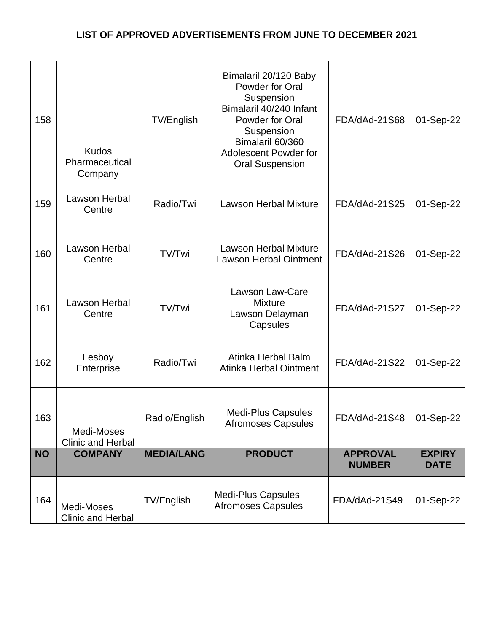| 158       | <b>Kudos</b><br>Pharmaceutical<br>Company | <b>TV/English</b> | Bimalaril 20/120 Baby<br>Powder for Oral<br>Suspension<br>Bimalaril 40/240 Infant<br>Powder for Oral<br>Suspension<br>Bimalaril 60/360<br><b>Adolescent Powder for</b><br><b>Oral Suspension</b> | FDA/dAd-21S68                    | 01-Sep-22                    |
|-----------|-------------------------------------------|-------------------|--------------------------------------------------------------------------------------------------------------------------------------------------------------------------------------------------|----------------------------------|------------------------------|
| 159       | Lawson Herbal<br>Centre                   | Radio/Twi         | <b>Lawson Herbal Mixture</b>                                                                                                                                                                     | FDA/dAd-21S25                    | 01-Sep-22                    |
| 160       | Lawson Herbal<br>Centre                   | TV/Twi            | <b>Lawson Herbal Mixture</b><br><b>Lawson Herbal Ointment</b>                                                                                                                                    | FDA/dAd-21S26                    | 01-Sep-22                    |
| 161       | Lawson Herbal<br>Centre                   | TV/Twi            | <b>Lawson Law-Care</b><br><b>Mixture</b><br>Lawson Delayman<br>Capsules                                                                                                                          | FDA/dAd-21S27                    | 01-Sep-22                    |
| 162       | Lesboy<br>Enterprise                      | Radio/Twi         | Atinka Herbal Balm<br><b>Atinka Herbal Ointment</b>                                                                                                                                              | FDA/dAd-21S22                    | 01-Sep-22                    |
| 163       | Medi-Moses<br>Clinic and Herbal           | Radio/English     | <b>Medi-Plus Capsules</b><br><b>Afromoses Capsules</b>                                                                                                                                           | FDA/dAd-21S48                    | $\vert$ 01-Sep-22            |
| <b>NO</b> | <b>COMPANY</b>                            | <b>MEDIA/LANG</b> | <b>PRODUCT</b>                                                                                                                                                                                   | <b>APPROVAL</b><br><b>NUMBER</b> | <b>EXPIRY</b><br><b>DATE</b> |
| 164       | Medi-Moses<br>Clinic and Herbal           | TV/English        | <b>Medi-Plus Capsules</b><br><b>Afromoses Capsules</b>                                                                                                                                           | FDA/dAd-21S49                    | 01-Sep-22                    |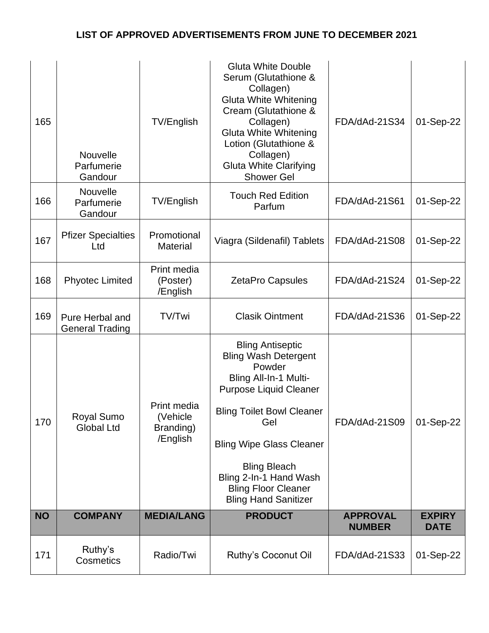| 165       | Nouvelle<br>Parfumerie<br>Gandour         | TV/English                                        | <b>Gluta White Double</b><br>Serum (Glutathione &<br>Collagen)<br><b>Gluta White Whitening</b><br>Cream (Glutathione &<br>Collagen)<br><b>Gluta White Whitening</b><br>Lotion (Glutathione &<br>Collagen)<br><b>Gluta White Clarifying</b><br><b>Shower Gel</b>                                                        | FDA/dAd-21S34                    | 01-Sep-22                    |
|-----------|-------------------------------------------|---------------------------------------------------|------------------------------------------------------------------------------------------------------------------------------------------------------------------------------------------------------------------------------------------------------------------------------------------------------------------------|----------------------------------|------------------------------|
| 166       | Nouvelle<br>Parfumerie<br>Gandour         | TV/English                                        | <b>Touch Red Edition</b><br>Parfum                                                                                                                                                                                                                                                                                     | FDA/dAd-21S61                    | 01-Sep-22                    |
| 167       | <b>Pfizer Specialties</b><br>Ltd          | Promotional<br><b>Material</b>                    | Viagra (Sildenafil) Tablets                                                                                                                                                                                                                                                                                            | FDA/dAd-21S08                    | 01-Sep-22                    |
| 168       | <b>Phyotec Limited</b>                    | Print media<br>(Poster)<br>/English               | <b>ZetaPro Capsules</b>                                                                                                                                                                                                                                                                                                | FDA/dAd-21S24                    | 01-Sep-22                    |
| 169       | Pure Herbal and<br><b>General Trading</b> | TV/Twi                                            | <b>Clasik Ointment</b>                                                                                                                                                                                                                                                                                                 | FDA/dAd-21S36                    | 01-Sep-22                    |
| 170       | Royal Sumo<br><b>Global Ltd</b>           | Print media<br>(Vehicle)<br>Branding)<br>/English | <b>Bling Antiseptic</b><br><b>Bling Wash Detergent</b><br>Powder<br>Bling All-In-1 Multi-<br><b>Purpose Liquid Cleaner</b><br><b>Bling Toilet Bowl Cleaner</b><br>Gel<br><b>Bling Wipe Glass Cleaner</b><br><b>Bling Bleach</b><br>Bling 2-In-1 Hand Wash<br><b>Bling Floor Cleaner</b><br><b>Bling Hand Sanitizer</b> | FDA/dAd-21S09                    | 01-Sep-22                    |
| <b>NO</b> | <b>COMPANY</b>                            | <b>MEDIA/LANG</b>                                 | <b>PRODUCT</b>                                                                                                                                                                                                                                                                                                         | <b>APPROVAL</b><br><b>NUMBER</b> | <b>EXPIRY</b><br><b>DATE</b> |
| 171       | Ruthy's<br>Cosmetics                      | Radio/Twi                                         | Ruthy's Coconut Oil                                                                                                                                                                                                                                                                                                    | FDA/dAd-21S33                    | 01-Sep-22                    |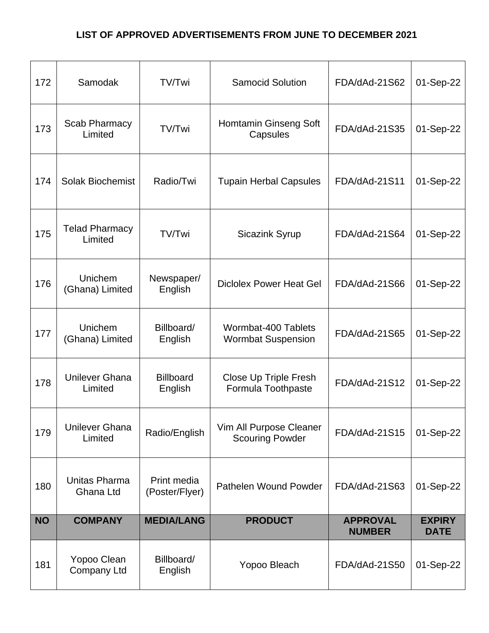| 172       | Samodak                          | TV/Twi                        | <b>Samocid Solution</b>                            | FDA/dAd-21S62                    | 01-Sep-22                    |
|-----------|----------------------------------|-------------------------------|----------------------------------------------------|----------------------------------|------------------------------|
| 173       | Scab Pharmacy<br>Limited         | TV/Twi                        | <b>Homtamin Ginseng Soft</b><br>Capsules           | FDA/dAd-21S35                    | 01-Sep-22                    |
| 174       | <b>Solak Biochemist</b>          | Radio/Twi                     | <b>Tupain Herbal Capsules</b>                      | FDA/dAd-21S11                    | 01-Sep-22                    |
| 175       | <b>Telad Pharmacy</b><br>Limited | TV/Twi                        | <b>Sicazink Syrup</b>                              | FDA/dAd-21S64                    | 01-Sep-22                    |
| 176       | Unichem<br>(Ghana) Limited       | Newspaper/<br>English         | <b>Diclolex Power Heat Gel</b>                     | FDA/dAd-21S66                    | 01-Sep-22                    |
| 177       | Unichem<br>(Ghana) Limited       | Billboard/<br>English         | Wormbat-400 Tablets<br><b>Wormbat Suspension</b>   | FDA/dAd-21S65                    | 01-Sep-22                    |
| 178       | <b>Unilever Ghana</b><br>Limited | <b>Billboard</b><br>English   | <b>Close Up Triple Fresh</b><br>Formula Toothpaste | FDA/dAd-21S12                    | 01-Sep-22                    |
| 179       | <b>Unilever Ghana</b><br>Limited | Radio/English                 | Vim All Purpose Cleaner<br><b>Scouring Powder</b>  | FDA/dAd-21S15                    | 01-Sep-22                    |
| 180       | Unitas Pharma<br>Ghana Ltd       | Print media<br>(Poster/Flyer) | Pathelen Wound Powder                              | FDA/dAd-21S63                    | 01-Sep-22                    |
| <b>NO</b> | <b>COMPANY</b>                   | <b>MEDIA/LANG</b>             | <b>PRODUCT</b>                                     | <b>APPROVAL</b><br><b>NUMBER</b> | <b>EXPIRY</b><br><b>DATE</b> |
| 181       | Yopoo Clean<br>Company Ltd       | Billboard/<br>English         | Yopoo Bleach                                       | FDA/dAd-21S50                    | 01-Sep-22                    |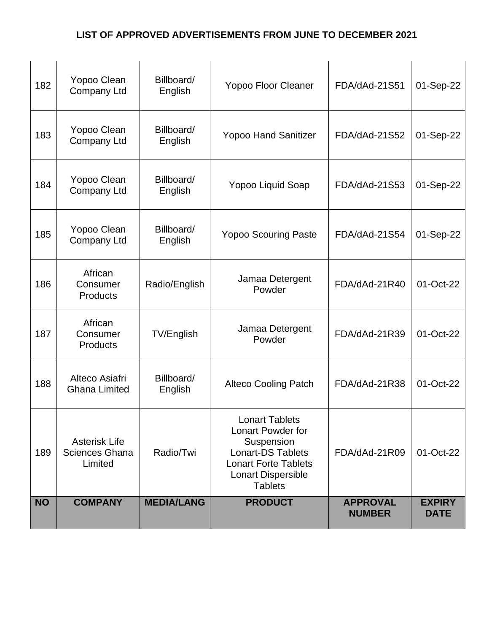| 182       | Yopoo Clean<br><b>Company Ltd</b>                        | Billboard/<br>English | <b>Yopoo Floor Cleaner</b>                                                                                                                                  | FDA/dAd-21S51                    | 01-Sep-22                    |
|-----------|----------------------------------------------------------|-----------------------|-------------------------------------------------------------------------------------------------------------------------------------------------------------|----------------------------------|------------------------------|
| 183       | Yopoo Clean<br>Company Ltd                               | Billboard/<br>English | <b>Yopoo Hand Sanitizer</b>                                                                                                                                 | FDA/dAd-21S52                    | 01-Sep-22                    |
| 184       | Yopoo Clean<br>Company Ltd                               | Billboard/<br>English | Yopoo Liquid Soap                                                                                                                                           | FDA/dAd-21S53                    | 01-Sep-22                    |
| 185       | Yopoo Clean<br>Company Ltd                               | Billboard/<br>English | <b>Yopoo Scouring Paste</b>                                                                                                                                 | FDA/dAd-21S54                    | 01-Sep-22                    |
| 186       | African<br>Consumer<br><b>Products</b>                   | Radio/English         | Jamaa Detergent<br>Powder                                                                                                                                   | FDA/dAd-21R40                    | 01-Oct-22                    |
| 187       | African<br>Consumer<br><b>Products</b>                   | TV/English            | Jamaa Detergent<br>Powder                                                                                                                                   | FDA/dAd-21R39                    | 01-Oct-22                    |
| 188       | Alteco Asiafri<br><b>Ghana Limited</b>                   | Billboard/<br>English | <b>Alteco Cooling Patch</b>                                                                                                                                 | FDA/dAd-21R38                    | 01-Oct-22                    |
| 189       | <b>Asterisk Life</b><br><b>Sciences Ghana</b><br>Limited | Radio/Twi             | <b>Lonart Tablets</b><br>Lonart Powder for<br>Suspension<br><b>Lonart-DS Tablets</b><br><b>Lonart Forte Tablets</b><br>Lonart Dispersible<br><b>Tablets</b> | FDA/dAd-21R09                    | 01-Oct-22                    |
| <b>NO</b> | <b>COMPANY</b>                                           | <b>MEDIA/LANG</b>     | <b>PRODUCT</b>                                                                                                                                              | <b>APPROVAL</b><br><b>NUMBER</b> | <b>EXPIRY</b><br><b>DATE</b> |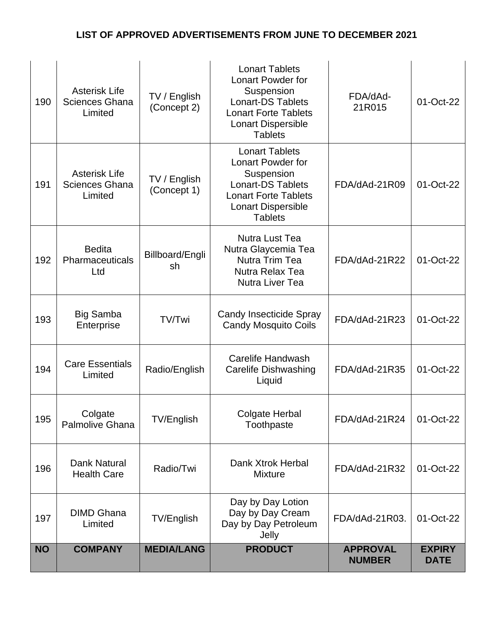| 190       | <b>Asterisk Life</b><br><b>Sciences Ghana</b><br>Limited | TV / English<br>(Concept 2) | <b>Lonart Tablets</b><br>Lonart Powder for<br>Suspension<br><b>Lonart-DS Tablets</b><br><b>Lonart Forte Tablets</b><br>Lonart Dispersible<br><b>Tablets</b>               | FDA/dAd-<br>21R015               | 01-Oct-22                    |
|-----------|----------------------------------------------------------|-----------------------------|---------------------------------------------------------------------------------------------------------------------------------------------------------------------------|----------------------------------|------------------------------|
| 191       | <b>Asterisk Life</b><br><b>Sciences Ghana</b><br>Limited | TV / English<br>(Concept 1) | <b>Lonart Tablets</b><br><b>Lonart Powder for</b><br>Suspension<br><b>Lonart-DS Tablets</b><br><b>Lonart Forte Tablets</b><br><b>Lonart Dispersible</b><br><b>Tablets</b> | FDA/dAd-21R09                    | 01-Oct-22                    |
| 192       | <b>Bedita</b><br>Pharmaceuticals<br>Ltd                  | Billboard/Engli<br>sh       | <b>Nutra Lust Tea</b><br>Nutra Glaycemia Tea<br>Nutra Trim Tea<br>Nutra Relax Tea<br><b>Nutra Liver Tea</b>                                                               | FDA/dAd-21R22                    | 01-Oct-22                    |
| 193       | <b>Big Samba</b><br>Enterprise                           | TV/Twi                      | <b>Candy Insecticide Spray</b><br><b>Candy Mosquito Coils</b>                                                                                                             | FDA/dAd-21R23                    | 01-Oct-22                    |
| 194       | <b>Care Essentials</b><br>Limited                        | Radio/English               | Carelife Handwash<br><b>Carelife Dishwashing</b><br>Liquid                                                                                                                | FDA/dAd-21R35                    | 01-Oct-22                    |
| 195       | Colgate<br><b>Palmolive Ghana</b>                        | TV/English                  | Colgate Herbal<br>Toothpaste                                                                                                                                              | FDA/dAd-21R24                    | 01-Oct-22                    |
| 196       | Dank Natural<br><b>Health Care</b>                       | Radio/Twi                   | Dank Xtrok Herbal<br><b>Mixture</b>                                                                                                                                       | FDA/dAd-21R32                    | 01-Oct-22                    |
| 197       | <b>DIMD Ghana</b><br>Limited                             | TV/English                  | Day by Day Lotion<br>Day by Day Cream<br>Day by Day Petroleum<br>Jelly                                                                                                    | FDA/dAd-21R03.                   | 01-Oct-22                    |
| <b>NO</b> | <b>COMPANY</b>                                           | <b>MEDIA/LANG</b>           | <b>PRODUCT</b>                                                                                                                                                            | <b>APPROVAL</b><br><b>NUMBER</b> | <b>EXPIRY</b><br><b>DATE</b> |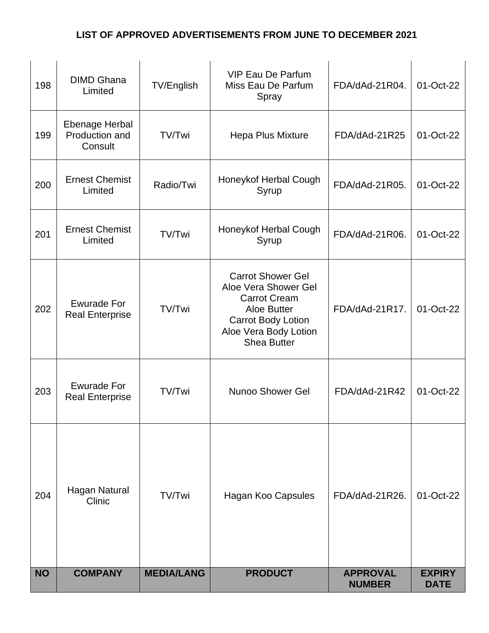| 198       | <b>DIMD Ghana</b><br>Limited                 | TV/English        | <b>VIP Eau De Parfum</b><br>Miss Eau De Parfum<br>Spray                                                                                                     | FDA/dAd-21R04.                   | 01-Oct-22                    |
|-----------|----------------------------------------------|-------------------|-------------------------------------------------------------------------------------------------------------------------------------------------------------|----------------------------------|------------------------------|
| 199       | Ebenage Herbal<br>Production and<br>Consult  | TV/Twi            | Hepa Plus Mixture                                                                                                                                           | FDA/dAd-21R25                    | 01-Oct-22                    |
| 200       | <b>Ernest Chemist</b><br>Limited             | Radio/Twi         | Honeykof Herbal Cough<br>Syrup                                                                                                                              | FDA/dAd-21R05.                   | 01-Oct-22                    |
| 201       | <b>Ernest Chemist</b><br>Limited             | TV/Twi            | Honeykof Herbal Cough<br>Syrup                                                                                                                              | FDA/dAd-21R06.                   | 01-Oct-22                    |
| 202       | <b>Ewurade For</b><br><b>Real Enterprise</b> | TV/Twi            | <b>Carrot Shower Gel</b><br>Aloe Vera Shower Gel<br><b>Carrot Cream</b><br>Aloe Butter<br>Carrot Body Lotion<br>Aloe Vera Body Lotion<br><b>Shea Butter</b> | FDA/dAd-21R17.                   | 01-Oct-22                    |
| 203       | <b>Ewurade For</b><br><b>Real Enterprise</b> | TV/Twi            | Nunoo Shower Gel                                                                                                                                            | FDA/dAd-21R42                    | 01-Oct-22                    |
| 204       | Hagan Natural<br>Clinic                      | TV/Twi            | Hagan Koo Capsules                                                                                                                                          | FDA/dAd-21R26.                   | 01-Oct-22                    |
| <b>NO</b> | <b>COMPANY</b>                               | <b>MEDIA/LANG</b> | <b>PRODUCT</b>                                                                                                                                              | <b>APPROVAL</b><br><b>NUMBER</b> | <b>EXPIRY</b><br><b>DATE</b> |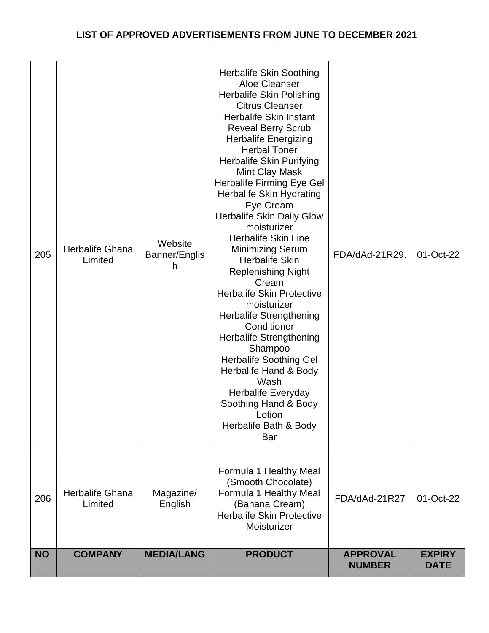| 205       | Herbalife Ghana<br>Limited | Website<br>Banner/Englis<br>h | <b>Herbalife Skin Soothing</b><br>Aloe Cleanser<br>Herbalife Skin Polishing<br><b>Citrus Cleanser</b><br><b>Herbalife Skin Instant</b><br><b>Reveal Berry Scrub</b><br><b>Herbalife Energizing</b><br><b>Herbal Toner</b><br>Herbalife Skin Purifying<br><b>Mint Clay Mask</b><br><b>Herbalife Firming Eye Gel</b><br>Herbalife Skin Hydrating<br>Eye Cream<br><b>Herbalife Skin Daily Glow</b><br>moisturizer<br><b>Herbalife Skin Line</b><br><b>Minimizing Serum</b><br><b>Herbalife Skin</b><br><b>Replenishing Night</b><br>Cream<br><b>Herbalife Skin Protective</b><br>moisturizer<br><b>Herbalife Strengthening</b><br>Conditioner<br><b>Herbalife Strengthening</b><br>Shampoo<br><b>Herbalife Soothing Gel</b><br>Herbalife Hand & Body<br>Wash<br>Herbalife Everyday<br>Soothing Hand & Body<br>Lotion<br>Herbalife Bath & Body<br>Bar | FDA/dAd-21R29.                   | 01-Oct-22                    |
|-----------|----------------------------|-------------------------------|---------------------------------------------------------------------------------------------------------------------------------------------------------------------------------------------------------------------------------------------------------------------------------------------------------------------------------------------------------------------------------------------------------------------------------------------------------------------------------------------------------------------------------------------------------------------------------------------------------------------------------------------------------------------------------------------------------------------------------------------------------------------------------------------------------------------------------------------------|----------------------------------|------------------------------|
| 206       | Herbalife Ghana<br>Limited | Magazine/<br>English          | Formula 1 Healthy Meal<br>(Smooth Chocolate)<br>Formula 1 Healthy Meal<br>(Banana Cream)<br><b>Herbalife Skin Protective</b><br>Moisturizer                                                                                                                                                                                                                                                                                                                                                                                                                                                                                                                                                                                                                                                                                                       | FDA/dAd-21R27                    | 01-Oct-22                    |
| <b>NO</b> | <b>COMPANY</b>             | <b>MEDIA/LANG</b>             | <b>PRODUCT</b>                                                                                                                                                                                                                                                                                                                                                                                                                                                                                                                                                                                                                                                                                                                                                                                                                                    | <b>APPROVAL</b><br><b>NUMBER</b> | <b>EXPIRY</b><br><b>DATE</b> |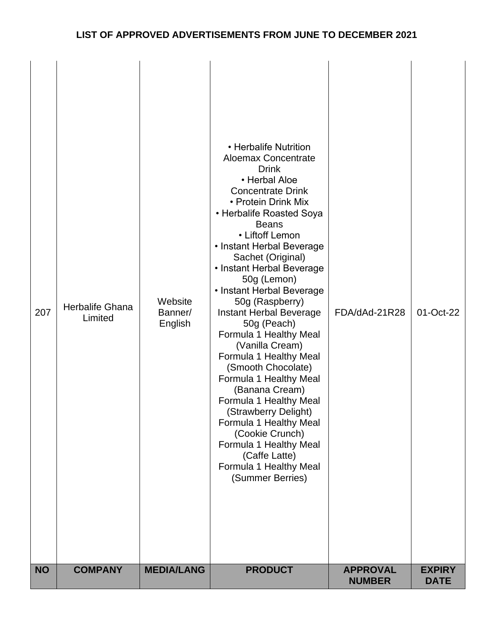| 207<br><b>NO</b> | Herbalife Ghana<br>Limited<br><b>COMPANY</b> | Website<br>Banner/<br>English<br><b>MEDIA/LANG</b> | • Herbalife Nutrition<br><b>Aloemax Concentrate</b><br><b>Drink</b><br>• Herbal Aloe<br><b>Concentrate Drink</b><br>• Protein Drink Mix<br>• Herbalife Roasted Soya<br><b>Beans</b><br>• Liftoff Lemon<br>• Instant Herbal Beverage<br>Sachet (Original)<br>• Instant Herbal Beverage<br>50g (Lemon)<br>• Instant Herbal Beverage<br>50g (Raspberry)<br><b>Instant Herbal Beverage</b><br>50g (Peach)<br>Formula 1 Healthy Meal<br>(Vanilla Cream)<br>Formula 1 Healthy Meal<br>(Smooth Chocolate)<br>Formula 1 Healthy Meal<br>(Banana Cream)<br>Formula 1 Healthy Meal<br>(Strawberry Delight)<br>Formula 1 Healthy Meal<br>(Cookie Crunch)<br>Formula 1 Healthy Meal<br>(Caffe Latte)<br>Formula 1 Healthy Meal<br>(Summer Berries)<br><b>PRODUCT</b> | FDA/dAd-21R28<br><b>APPROVAL</b> | 01-Oct-22<br><b>EXPIRY</b> |
|------------------|----------------------------------------------|----------------------------------------------------|----------------------------------------------------------------------------------------------------------------------------------------------------------------------------------------------------------------------------------------------------------------------------------------------------------------------------------------------------------------------------------------------------------------------------------------------------------------------------------------------------------------------------------------------------------------------------------------------------------------------------------------------------------------------------------------------------------------------------------------------------------|----------------------------------|----------------------------|
|                  |                                              |                                                    |                                                                                                                                                                                                                                                                                                                                                                                                                                                                                                                                                                                                                                                                                                                                                          | <b>NUMBER</b>                    | <b>DATE</b>                |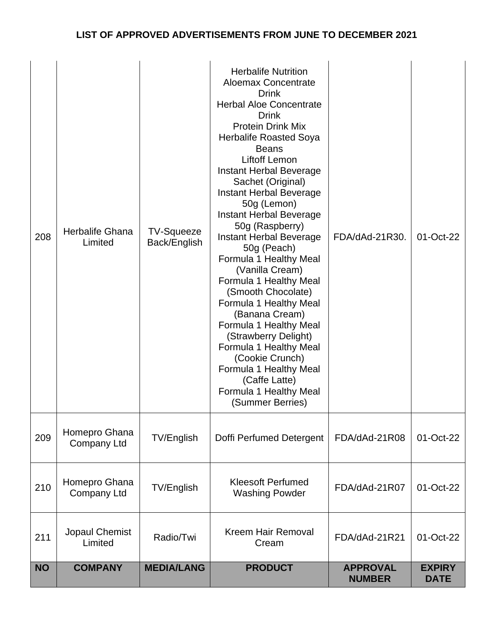| <b>NO</b> | <b>COMPANY</b>                      | <b>MEDIA/LANG</b>                 | <b>PRODUCT</b>                                                                                                                                                                                                                                                                                                                                                                                                                                                                                                                                                                                                                                                                                                                              | <b>APPROVAL</b><br><b>NUMBER</b> | <b>EXPIRY</b><br><b>DATE</b> |
|-----------|-------------------------------------|-----------------------------------|---------------------------------------------------------------------------------------------------------------------------------------------------------------------------------------------------------------------------------------------------------------------------------------------------------------------------------------------------------------------------------------------------------------------------------------------------------------------------------------------------------------------------------------------------------------------------------------------------------------------------------------------------------------------------------------------------------------------------------------------|----------------------------------|------------------------------|
| 211       | Jopaul Chemist<br>Limited           | Radio/Twi                         | <b>Kreem Hair Removal</b><br>Cream                                                                                                                                                                                                                                                                                                                                                                                                                                                                                                                                                                                                                                                                                                          | FDA/dAd-21R21                    | 01-Oct-22                    |
| 210       | Homepro Ghana<br><b>Company Ltd</b> | TV/English                        | <b>Kleesoft Perfumed</b><br><b>Washing Powder</b>                                                                                                                                                                                                                                                                                                                                                                                                                                                                                                                                                                                                                                                                                           | FDA/dAd-21R07                    | 01-Oct-22                    |
| 209       | Homepro Ghana<br><b>Company Ltd</b> | <b>TV/English</b>                 | Doffi Perfumed Detergent                                                                                                                                                                                                                                                                                                                                                                                                                                                                                                                                                                                                                                                                                                                    | FDA/dAd-21R08                    | 01-Oct-22                    |
| 208       | Herbalife Ghana<br>Limited          | <b>TV-Squeeze</b><br>Back/English | <b>Herbalife Nutrition</b><br><b>Aloemax Concentrate</b><br><b>Drink</b><br><b>Herbal Aloe Concentrate</b><br><b>Drink</b><br><b>Protein Drink Mix</b><br>Herbalife Roasted Soya<br><b>Beans</b><br><b>Liftoff Lemon</b><br>Instant Herbal Beverage<br>Sachet (Original)<br>Instant Herbal Beverage<br>50g (Lemon)<br>Instant Herbal Beverage<br>50g (Raspberry)<br>Instant Herbal Beverage<br>50g (Peach)<br>Formula 1 Healthy Meal<br>(Vanilla Cream)<br>Formula 1 Healthy Meal<br>(Smooth Chocolate)<br>Formula 1 Healthy Meal<br>(Banana Cream)<br>Formula 1 Healthy Meal<br>(Strawberry Delight)<br>Formula 1 Healthy Meal<br>(Cookie Crunch)<br>Formula 1 Healthy Meal<br>(Caffe Latte)<br>Formula 1 Healthy Meal<br>(Summer Berries) | FDA/dAd-21R30.                   | 01-Oct-22                    |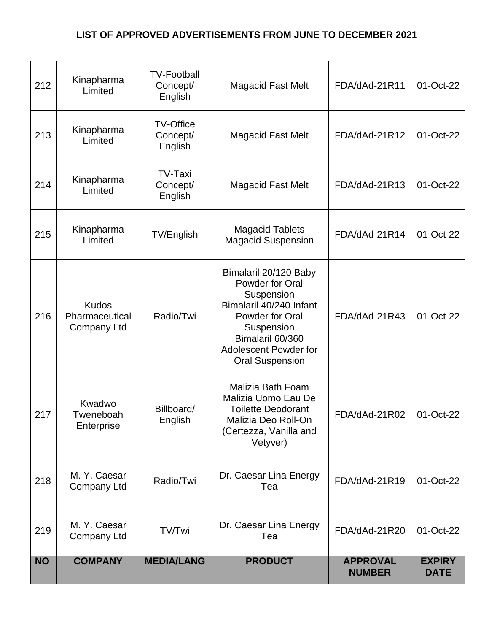| 212       | Kinapharma<br>Limited                                | <b>TV-Football</b><br>Concept/<br>English | <b>Magacid Fast Melt</b>                                                                                                                                                                         | FDA/dAd-21R11                    | 01-Oct-22                    |
|-----------|------------------------------------------------------|-------------------------------------------|--------------------------------------------------------------------------------------------------------------------------------------------------------------------------------------------------|----------------------------------|------------------------------|
| 213       | Kinapharma<br>Limited                                | <b>TV-Office</b><br>Concept/<br>English   | <b>Magacid Fast Melt</b>                                                                                                                                                                         | FDA/dAd-21R12                    | 01-Oct-22                    |
| 214       | Kinapharma<br>Limited                                | <b>TV-Taxi</b><br>Concept/<br>English     | <b>Magacid Fast Melt</b>                                                                                                                                                                         | FDA/dAd-21R13                    | 01-Oct-22                    |
| 215       | Kinapharma<br>Limited                                | TV/English                                | <b>Magacid Tablets</b><br><b>Magacid Suspension</b>                                                                                                                                              | FDA/dAd-21R14                    | 01-Oct-22                    |
| 216       | <b>Kudos</b><br>Pharmaceutical<br><b>Company Ltd</b> | Radio/Twi                                 | Bimalaril 20/120 Baby<br>Powder for Oral<br>Suspension<br>Bimalaril 40/240 Infant<br>Powder for Oral<br>Suspension<br>Bimalaril 60/360<br><b>Adolescent Powder for</b><br><b>Oral Suspension</b> | FDA/dAd-21R43                    | 01-Oct-22                    |
| 217       | Kwadwo<br>Tweneboah<br>Enterprise                    | Billboard/<br>English                     | Malizia Bath Foam<br>Malizia Uomo Eau De<br><b>Toilette Deodorant</b><br>Malizia Deo Roll-On<br>(Certezza, Vanilla and<br>Vetyver)                                                               | FDA/dAd-21R02                    | 01-Oct-22                    |
| 218       | M. Y. Caesar<br>Company Ltd                          | Radio/Twi                                 | Dr. Caesar Lina Energy<br>Tea                                                                                                                                                                    | FDA/dAd-21R19                    | 01-Oct-22                    |
| 219       | M. Y. Caesar<br><b>Company Ltd</b>                   | TV/Twi                                    | Dr. Caesar Lina Energy<br>Tea                                                                                                                                                                    | FDA/dAd-21R20                    | 01-Oct-22                    |
| <b>NO</b> | <b>COMPANY</b>                                       | <b>MEDIA/LANG</b>                         | <b>PRODUCT</b>                                                                                                                                                                                   | <b>APPROVAL</b><br><b>NUMBER</b> | <b>EXPIRY</b><br><b>DATE</b> |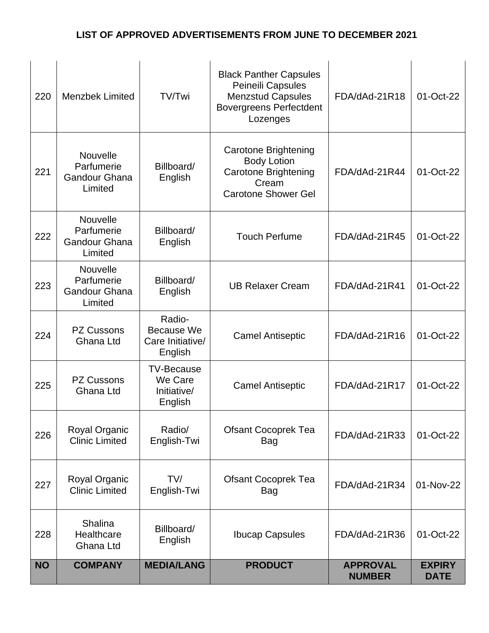| 220       | <b>Menzbek Limited</b>                                    | TV/Twi                                                     | <b>Black Panther Capsules</b><br>Peineili Capsules<br><b>Menzstud Capsules</b><br><b>Bovergreens Perfectdent</b><br>Lozenges | FDA/dAd-21R18                    | 01-Oct-22                    |
|-----------|-----------------------------------------------------------|------------------------------------------------------------|------------------------------------------------------------------------------------------------------------------------------|----------------------------------|------------------------------|
| 221       | Nouvelle<br>Parfumerie<br><b>Gandour Ghana</b><br>Limited | Billboard/<br>English                                      | <b>Carotone Brightening</b><br><b>Body Lotion</b><br><b>Carotone Brightening</b><br>Cream<br><b>Carotone Shower Gel</b>      | FDA/dAd-21R44                    | 01-Oct-22                    |
| 222       | Nouvelle<br>Parfumerie<br><b>Gandour Ghana</b><br>Limited | Billboard/<br>English                                      | <b>Touch Perfume</b>                                                                                                         | FDA/dAd-21R45                    | 01-Oct-22                    |
| 223       | Nouvelle<br>Parfumerie<br><b>Gandour Ghana</b><br>Limited | Billboard/<br>English                                      | <b>UB Relaxer Cream</b>                                                                                                      | FDA/dAd-21R41                    | 01-Oct-22                    |
| 224       | PZ Cussons<br>Ghana Ltd                                   | Radio-<br><b>Because We</b><br>Care Initiative/<br>English | <b>Camel Antiseptic</b>                                                                                                      | FDA/dAd-21R16                    | 01-Oct-22                    |
| 225       | <b>PZ Cussons</b><br>Ghana Ltd                            | <b>TV-Because</b><br>We Care<br>Initiative/<br>English     | <b>Camel Antiseptic</b>                                                                                                      | FDA/dAd-21R17                    | 01-Oct-22                    |
| 226       | Royal Organic<br><b>Clinic Limited</b>                    | Radio/<br>English-Twi                                      | <b>Ofsant Cocoprek Tea</b><br><b>Bag</b>                                                                                     | FDA/dAd-21R33                    | 01-Oct-22                    |
| 227       | Royal Organic<br><b>Clinic Limited</b>                    | TV/<br>English-Twi                                         | <b>Ofsant Cocoprek Tea</b><br>Bag                                                                                            | FDA/dAd-21R34                    | 01-Nov-22                    |
| 228       | Shalina<br>Healthcare<br>Ghana Ltd                        | Billboard/<br>English                                      | <b>Ibucap Capsules</b>                                                                                                       | FDA/dAd-21R36                    | 01-Oct-22                    |
| <b>NO</b> | <b>COMPANY</b>                                            | <b>MEDIA/LANG</b>                                          | <b>PRODUCT</b>                                                                                                               | <b>APPROVAL</b><br><b>NUMBER</b> | <b>EXPIRY</b><br><b>DATE</b> |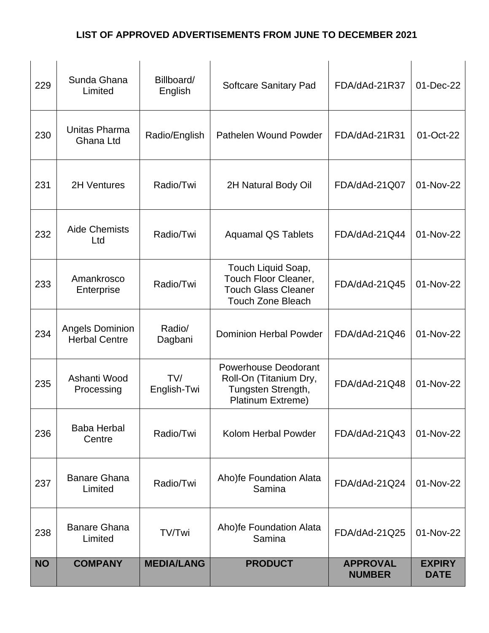| 229       | Sunda Ghana<br>Limited                  | Billboard/<br>English | <b>Softcare Sanitary Pad</b>                                                                         | FDA/dAd-21R37                    | 01-Dec-22                    |
|-----------|-----------------------------------------|-----------------------|------------------------------------------------------------------------------------------------------|----------------------------------|------------------------------|
| 230       | Unitas Pharma<br>Ghana Ltd              | Radio/English         | Pathelen Wound Powder                                                                                | FDA/dAd-21R31                    | 01-Oct-22                    |
| 231       | 2H Ventures                             | Radio/Twi             | 2H Natural Body Oil                                                                                  | FDA/dAd-21Q07                    | 01-Nov-22                    |
| 232       | <b>Aide Chemists</b><br>Ltd             | Radio/Twi             | <b>Aquamal QS Tablets</b>                                                                            | FDA/dAd-21Q44                    | 01-Nov-22                    |
| 233       | Amankrosco<br>Enterprise                | Radio/Twi             | Touch Liquid Soap,<br>Touch Floor Cleaner,<br><b>Touch Glass Cleaner</b><br><b>Touch Zone Bleach</b> | FDA/dAd-21Q45                    | 01-Nov-22                    |
| 234       | Angels Dominion<br><b>Herbal Centre</b> | Radio/<br>Dagbani     | <b>Dominion Herbal Powder</b>                                                                        | FDA/dAd-21Q46                    | 01-Nov-22                    |
| 235       | Ashanti Wood<br>Processing              | TV/<br>English-Twi    | <b>Powerhouse Deodorant</b><br>Roll-On (Titanium Dry,<br>Tungsten Strength,<br>Platinum Extreme)     | FDA/dAd-21Q48                    | 01-Nov-22                    |
| 236       | <b>Baba Herbal</b><br>Centre            | Radio/Twi             | Kolom Herbal Powder                                                                                  | FDA/dAd-21Q43                    | 01-Nov-22                    |
| 237       | <b>Banare Ghana</b><br>Limited          | Radio/Twi             | Aho)fe Foundation Alata<br>Samina                                                                    | FDA/dAd-21Q24                    | 01-Nov-22                    |
| 238       | <b>Banare Ghana</b><br>Limited          | TV/Twi                | Aho)fe Foundation Alata<br>Samina                                                                    | FDA/dAd-21Q25                    | 01-Nov-22                    |
| <b>NO</b> | <b>COMPANY</b>                          | <b>MEDIA/LANG</b>     | <b>PRODUCT</b>                                                                                       | <b>APPROVAL</b><br><b>NUMBER</b> | <b>EXPIRY</b><br><b>DATE</b> |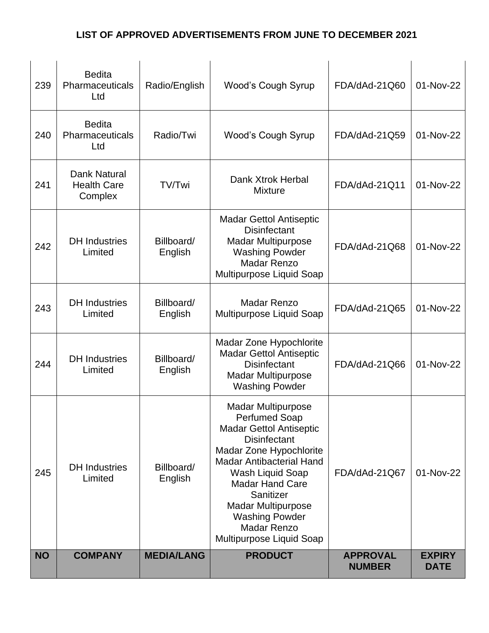| 239       | <b>Bedita</b><br>Pharmaceuticals<br>Ltd       | Radio/English         | <b>Wood's Cough Syrup</b>                                                                                                                                                                                                                                                                                                                   | FDA/dAd-21Q60                    | 01-Nov-22                    |
|-----------|-----------------------------------------------|-----------------------|---------------------------------------------------------------------------------------------------------------------------------------------------------------------------------------------------------------------------------------------------------------------------------------------------------------------------------------------|----------------------------------|------------------------------|
| 240       | <b>Bedita</b><br>Pharmaceuticals<br>Ltd       | Radio/Twi             | <b>Wood's Cough Syrup</b>                                                                                                                                                                                                                                                                                                                   | FDA/dAd-21Q59                    | 01-Nov-22                    |
| 241       | Dank Natural<br><b>Health Care</b><br>Complex | TV/Twi                | Dank Xtrok Herbal<br><b>Mixture</b>                                                                                                                                                                                                                                                                                                         | FDA/dAd-21Q11                    | 01-Nov-22                    |
| 242       | <b>DH</b> Industries<br>Limited               | Billboard/<br>English | <b>Madar Gettol Antiseptic</b><br><b>Disinfectant</b><br><b>Madar Multipurpose</b><br><b>Washing Powder</b><br><b>Madar Renzo</b><br>Multipurpose Liquid Soap                                                                                                                                                                               | FDA/dAd-21Q68                    | 01-Nov-22                    |
| 243       | <b>DH</b> Industries<br>Limited               | Billboard/<br>English | <b>Madar Renzo</b><br>Multipurpose Liquid Soap                                                                                                                                                                                                                                                                                              | FDA/dAd-21Q65                    | 01-Nov-22                    |
| 244       | <b>DH</b> Industries<br>Limited               | Billboard/<br>English | Madar Zone Hypochlorite<br><b>Madar Gettol Antiseptic</b><br><b>Disinfectant</b><br><b>Madar Multipurpose</b><br><b>Washing Powder</b>                                                                                                                                                                                                      | FDA/dAd-21Q66                    | 01-Nov-22                    |
| 245       | <b>DH</b> Industries<br>Limited               | Billboard/<br>English | <b>Madar Multipurpose</b><br><b>Perfumed Soap</b><br><b>Madar Gettol Antiseptic</b><br><b>Disinfectant</b><br>Madar Zone Hypochlorite<br><b>Madar Antibacterial Hand</b><br>Wash Liquid Soap<br><b>Madar Hand Care</b><br>Sanitizer<br><b>Madar Multipurpose</b><br><b>Washing Powder</b><br><b>Madar Renzo</b><br>Multipurpose Liquid Soap | FDA/dAd-21Q67                    | 01-Nov-22                    |
| <b>NO</b> | <b>COMPANY</b>                                | <b>MEDIA/LANG</b>     | <b>PRODUCT</b>                                                                                                                                                                                                                                                                                                                              | <b>APPROVAL</b><br><b>NUMBER</b> | <b>EXPIRY</b><br><b>DATE</b> |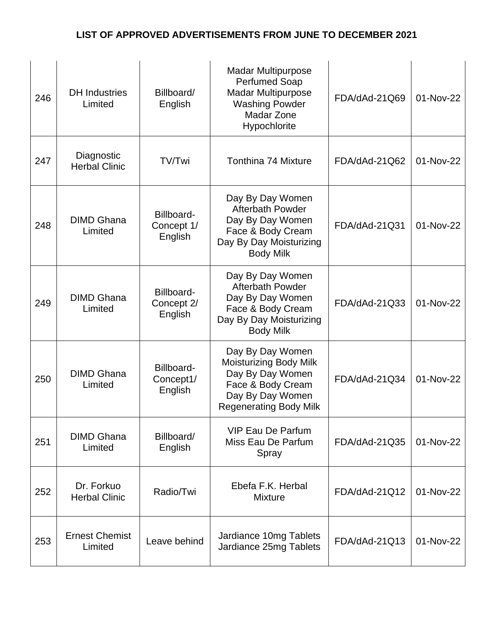| 246 | <b>DH</b> Industries<br>Limited    | Billboard/<br>English               | <b>Madar Multipurpose</b><br><b>Perfumed Soap</b><br><b>Madar Multipurpose</b><br><b>Washing Powder</b><br>Madar Zone<br>Hypochlorite           | FDA/dAd-21Q69 | 01-Nov-22 |
|-----|------------------------------------|-------------------------------------|-------------------------------------------------------------------------------------------------------------------------------------------------|---------------|-----------|
| 247 | Diagnostic<br><b>Herbal Clinic</b> | TV/Twi                              | <b>Tonthina 74 Mixture</b>                                                                                                                      | FDA/dAd-21Q62 | 01-Nov-22 |
| 248 | <b>DIMD Ghana</b><br>Limited       | Billboard-<br>Concept 1/<br>English | Day By Day Women<br><b>Afterbath Powder</b><br>Day By Day Women<br>Face & Body Cream<br>Day By Day Moisturizing<br><b>Body Milk</b>             | FDA/dAd-21Q31 | 01-Nov-22 |
| 249 | <b>DIMD Ghana</b><br>Limited       | Billboard-<br>Concept 2/<br>English | Day By Day Women<br><b>Afterbath Powder</b><br>Day By Day Women<br>Face & Body Cream<br>Day By Day Moisturizing<br><b>Body Milk</b>             | FDA/dAd-21Q33 | 01-Nov-22 |
| 250 | <b>DIMD Ghana</b><br>Limited       | Billboard-<br>Concept1/<br>English  | Day By Day Women<br><b>Moisturizing Body Milk</b><br>Day By Day Women<br>Face & Body Cream<br>Day By Day Women<br><b>Regenerating Body Milk</b> | FDA/dAd-21Q34 | 01-Nov-22 |
| 251 | <b>DIMD Ghana</b><br>Limited       | Billboard/<br>English               | <b>VIP Eau De Parfum</b><br>Miss Eau De Parfum<br>Spray                                                                                         | FDA/dAd-21Q35 | 01-Nov-22 |
| 252 | Dr. Forkuo<br><b>Herbal Clinic</b> | Radio/Twi                           | Ebefa F.K. Herbal<br><b>Mixture</b>                                                                                                             | FDA/dAd-21Q12 | 01-Nov-22 |
| 253 | <b>Ernest Chemist</b><br>Limited   | Leave behind                        | Jardiance 10mg Tablets<br>Jardiance 25mg Tablets                                                                                                | FDA/dAd-21Q13 | 01-Nov-22 |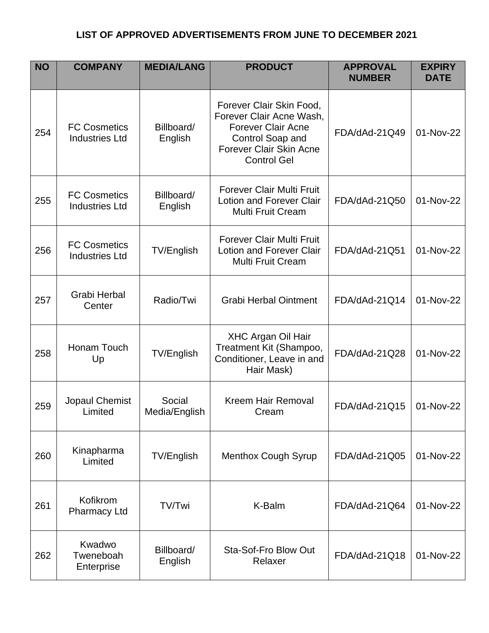| <b>NO</b> | <b>COMPANY</b>                               | <b>MEDIA/LANG</b>       | <b>PRODUCT</b>                                                                                                                                                | <b>APPROVAL</b><br><b>NUMBER</b> | <b>EXPIRY</b><br><b>DATE</b> |
|-----------|----------------------------------------------|-------------------------|---------------------------------------------------------------------------------------------------------------------------------------------------------------|----------------------------------|------------------------------|
| 254       | <b>FC Cosmetics</b><br><b>Industries Ltd</b> | Billboard/<br>English   | Forever Clair Skin Food,<br>Forever Clair Acne Wash,<br><b>Forever Clair Acne</b><br>Control Soap and<br><b>Forever Clair Skin Acne</b><br><b>Control Gel</b> | FDA/dAd-21Q49                    | 01-Nov-22                    |
| 255       | <b>FC Cosmetics</b><br><b>Industries Ltd</b> | Billboard/<br>English   | <b>Forever Clair Multi Fruit</b><br><b>Lotion and Forever Clair</b><br><b>Multi Fruit Cream</b>                                                               | FDA/dAd-21Q50                    | 01-Nov-22                    |
| 256       | <b>FC Cosmetics</b><br><b>Industries Ltd</b> | TV/English              | <b>Forever Clair Multi Fruit</b><br><b>Lotion and Forever Clair</b><br><b>Multi Fruit Cream</b>                                                               | FDA/dAd-21Q51                    | 01-Nov-22                    |
| 257       | Grabi Herbal<br>Center                       | Radio/Twi               | <b>Grabi Herbal Ointment</b>                                                                                                                                  | FDA/dAd-21Q14                    | 01-Nov-22                    |
| 258       | Honam Touch<br>Up                            | TV/English              | <b>XHC Argan Oil Hair</b><br>Treatment Kit (Shampoo,<br>Conditioner, Leave in and<br>Hair Mask)                                                               | FDA/dAd-21Q28                    | 01-Nov-22                    |
| 259       | Jopaul Chemist<br>Limited                    | Social<br>Media/English | <b>Kreem Hair Removal</b><br>Cream                                                                                                                            | FDA/dAd-21Q15                    | 01-Nov-22                    |
| 260       | Kinapharma<br>Limited                        | TV/English              | <b>Menthox Cough Syrup</b>                                                                                                                                    | FDA/dAd-21Q05                    | 01-Nov-22                    |
| 261       | Kofikrom<br><b>Pharmacy Ltd</b>              | TV/Twi                  | K-Balm                                                                                                                                                        | FDA/dAd-21Q64                    | 01-Nov-22                    |
| 262       | Kwadwo<br>Tweneboah<br>Enterprise            | Billboard/<br>English   | Sta-Sof-Fro Blow Out<br>Relaxer                                                                                                                               | FDA/dAd-21Q18                    | 01-Nov-22                    |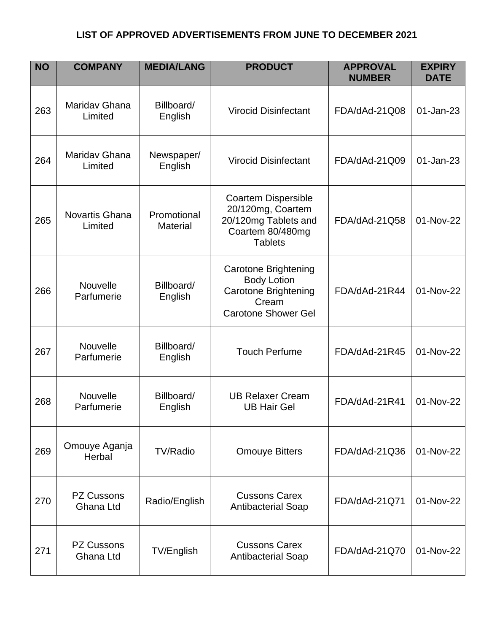| <b>NO</b> | <b>COMPANY</b>                 | <b>MEDIA/LANG</b>              | <b>PRODUCT</b>                                                                                                   | <b>APPROVAL</b><br><b>NUMBER</b> | <b>EXPIRY</b><br><b>DATE</b> |
|-----------|--------------------------------|--------------------------------|------------------------------------------------------------------------------------------------------------------|----------------------------------|------------------------------|
| 263       | Maridav Ghana<br>Limited       | Billboard/<br>English          | <b>Virocid Disinfectant</b>                                                                                      | FDA/dAd-21Q08                    | 01-Jan-23                    |
| 264       | Mariday Ghana<br>Limited       | Newspaper/<br>English          | <b>Virocid Disinfectant</b>                                                                                      | FDA/dAd-21Q09                    | 01-Jan-23                    |
| 265       | Novartis Ghana<br>Limited      | Promotional<br><b>Material</b> | <b>Coartem Dispersible</b><br>20/120mg, Coartem<br>20/120mg Tablets and<br>Coartem 80/480mg<br><b>Tablets</b>    | FDA/dAd-21Q58                    | 01-Nov-22                    |
| 266       | <b>Nouvelle</b><br>Parfumerie  | Billboard/<br>English          | <b>Carotone Brightening</b><br><b>Body Lotion</b><br>Carotone Brightening<br>Cream<br><b>Carotone Shower Gel</b> | FDA/dAd-21R44                    | 01-Nov-22                    |
| 267       | Nouvelle<br>Parfumerie         | Billboard/<br>English          | <b>Touch Perfume</b>                                                                                             | FDA/dAd-21R45                    | 01-Nov-22                    |
| 268       | Nouvelle<br>Parfumerie         | Billboard/<br>English          | <b>UB Relaxer Cream</b><br><b>UB Hair Gel</b>                                                                    | FDA/dAd-21R41                    | 01-Nov-22                    |
| 269       | Omouye Aganja<br>Herbal        | <b>TV/Radio</b>                | <b>Omouye Bitters</b>                                                                                            | FDA/dAd-21Q36                    | 01-Nov-22                    |
| 270       | <b>PZ Cussons</b><br>Ghana Ltd | Radio/English                  | <b>Cussons Carex</b><br><b>Antibacterial Soap</b>                                                                | FDA/dAd-21Q71                    | 01-Nov-22                    |
| 271       | <b>PZ Cussons</b><br>Ghana Ltd | TV/English                     | <b>Cussons Carex</b><br><b>Antibacterial Soap</b>                                                                | FDA/dAd-21Q70                    | 01-Nov-22                    |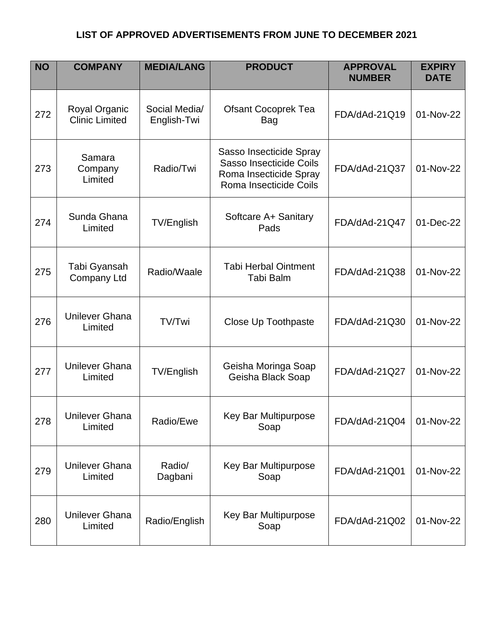| <b>NO</b> | <b>COMPANY</b>                         | <b>MEDIA/LANG</b>            | <b>PRODUCT</b>                                                                                         | <b>APPROVAL</b><br><b>NUMBER</b> | <b>EXPIRY</b><br><b>DATE</b> |
|-----------|----------------------------------------|------------------------------|--------------------------------------------------------------------------------------------------------|----------------------------------|------------------------------|
| 272       | Royal Organic<br><b>Clinic Limited</b> | Social Media/<br>English-Twi | <b>Ofsant Cocoprek Tea</b><br>Bag                                                                      | FDA/dAd-21Q19                    | 01-Nov-22                    |
| 273       | Samara<br>Company<br>Limited           | Radio/Twi                    | Sasso Insecticide Spray<br>Sasso Insecticide Coils<br>Roma Insecticide Spray<br>Roma Insecticide Coils | FDA/dAd-21Q37                    | 01-Nov-22                    |
| 274       | Sunda Ghana<br>Limited                 | TV/English                   | Softcare A+ Sanitary<br>Pads                                                                           | FDA/dAd-21Q47                    | 01-Dec-22                    |
| 275       | Tabi Gyansah<br>Company Ltd            | Radio/Waale                  | <b>Tabi Herbal Ointment</b><br>Tabi Balm                                                               | FDA/dAd-21Q38                    | 01-Nov-22                    |
| 276       | <b>Unilever Ghana</b><br>Limited       | TV/Twi                       | <b>Close Up Toothpaste</b>                                                                             | FDA/dAd-21Q30                    | 01-Nov-22                    |
| 277       | <b>Unilever Ghana</b><br>Limited       | TV/English                   | Geisha Moringa Soap<br>Geisha Black Soap                                                               | FDA/dAd-21Q27                    | 01-Nov-22                    |
| 278       | <b>Unilever Ghana</b><br>Limited       | Radio/Ewe                    | Key Bar Multipurpose<br>Soap                                                                           | FDA/dAd-21Q04                    | 01-Nov-22                    |
| 279       | <b>Unilever Ghana</b><br>Limited       | Radio/<br>Dagbani            | Key Bar Multipurpose<br>Soap                                                                           | FDA/dAd-21Q01                    | 01-Nov-22                    |
| 280       | <b>Unilever Ghana</b><br>Limited       | Radio/English                | Key Bar Multipurpose<br>Soap                                                                           | FDA/dAd-21Q02                    | 01-Nov-22                    |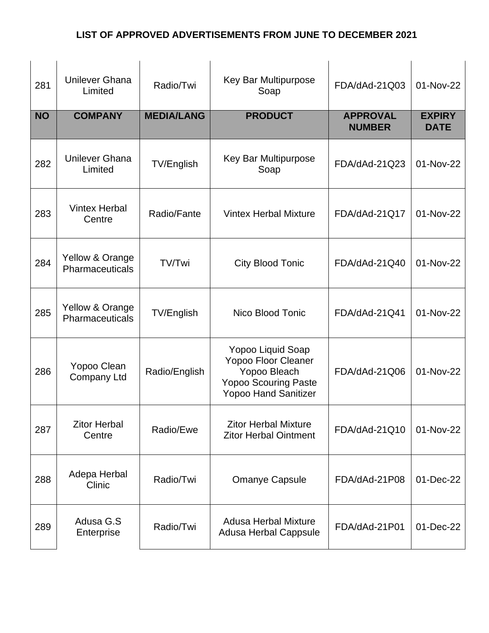| 281       | <b>Unilever Ghana</b><br>Limited   | Radio/Twi         | Key Bar Multipurpose<br>Soap                                                                                           | FDA/dAd-21Q03                    | 01-Nov-22                    |
|-----------|------------------------------------|-------------------|------------------------------------------------------------------------------------------------------------------------|----------------------------------|------------------------------|
| <b>NO</b> | <b>COMPANY</b>                     | <b>MEDIA/LANG</b> | <b>PRODUCT</b>                                                                                                         | <b>APPROVAL</b><br><b>NUMBER</b> | <b>EXPIRY</b><br><b>DATE</b> |
| 282       | <b>Unilever Ghana</b><br>Limited   | TV/English        | Key Bar Multipurpose<br>Soap                                                                                           | FDA/dAd-21Q23                    | 01-Nov-22                    |
| 283       | <b>Vintex Herbal</b><br>Centre     | Radio/Fante       | <b>Vintex Herbal Mixture</b>                                                                                           | FDA/dAd-21Q17                    | 01-Nov-22                    |
| 284       | Yellow & Orange<br>Pharmaceuticals | TV/Twi            | <b>City Blood Tonic</b>                                                                                                | FDA/dAd-21Q40                    | 01-Nov-22                    |
| 285       | Yellow & Orange<br>Pharmaceuticals | TV/English        | Nico Blood Tonic                                                                                                       | FDA/dAd-21Q41                    | 01-Nov-22                    |
| 286       | Yopoo Clean<br><b>Company Ltd</b>  | Radio/English     | Yopoo Liquid Soap<br>Yopoo Floor Cleaner<br>Yopoo Bleach<br><b>Yopoo Scouring Paste</b><br><b>Yopoo Hand Sanitizer</b> | FDA/dAd-21Q06                    | 01-Nov-22                    |
| 287       | <b>Zitor Herbal</b><br>Centre      | Radio/Ewe         | <b>Zitor Herbal Mixture</b><br><b>Zitor Herbal Ointment</b>                                                            | FDA/dAd-21Q10                    | 01-Nov-22                    |
| 288       | Adepa Herbal<br>Clinic             | Radio/Twi         | <b>Omanye Capsule</b>                                                                                                  | FDA/dAd-21P08                    | 01-Dec-22                    |
| 289       | Adusa G.S<br>Enterprise            | Radio/Twi         | <b>Adusa Herbal Mixture</b><br><b>Adusa Herbal Cappsule</b>                                                            | FDA/dAd-21P01                    | 01-Dec-22                    |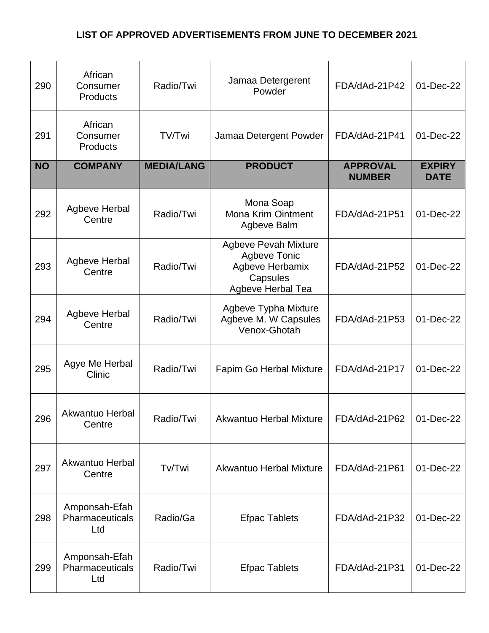| 290       | African<br>Consumer<br><b>Products</b>  | Radio/Twi         | Jamaa Detergerent<br>Powder                                                                            | FDA/dAd-21P42                    | 01-Dec-22                    |
|-----------|-----------------------------------------|-------------------|--------------------------------------------------------------------------------------------------------|----------------------------------|------------------------------|
| 291       | African<br>Consumer<br>Products         | TV/Twi            | Jamaa Detergent Powder                                                                                 | FDA/dAd-21P41                    | 01-Dec-22                    |
| <b>NO</b> | <b>COMPANY</b>                          | <b>MEDIA/LANG</b> | <b>PRODUCT</b>                                                                                         | <b>APPROVAL</b><br><b>NUMBER</b> | <b>EXPIRY</b><br><b>DATE</b> |
| 292       | Agbeve Herbal<br>Centre                 | Radio/Twi         | Mona Soap<br><b>Mona Krim Ointment</b><br>Agbeve Balm                                                  | FDA/dAd-21P51                    | 01-Dec-22                    |
| 293       | Agbeve Herbal<br>Centre                 | Radio/Twi         | <b>Agbeve Pevah Mixture</b><br><b>Agbeve Tonic</b><br>Agbeve Herbamix<br>Capsules<br>Agbeve Herbal Tea | FDA/dAd-21P52                    | 01-Dec-22                    |
| 294       | <b>Agbeve Herbal</b><br>Centre          | Radio/Twi         | Agbeve Typha Mixture<br>Agbeve M. W Capsules<br>Venox-Ghotah                                           | FDA/dAd-21P53                    | 01-Dec-22                    |
| 295       | Agye Me Herbal<br>Clinic                | Radio/Twi         | Fapim Go Herbal Mixture                                                                                | FDA/dAd-21P17                    | 01-Dec-22                    |
| 296       | Akwantuo Herbal<br>Centre               | Radio/Twi         | Akwantuo Herbal Mixture                                                                                | FDA/dAd-21P62                    | 01-Dec-22                    |
| 297       | <b>Akwantuo Herbal</b><br>Centre        | Tv/Twi            | Akwantuo Herbal Mixture                                                                                | FDA/dAd-21P61                    | 01-Dec-22                    |
| 298       | Amponsah-Efah<br>Pharmaceuticals<br>Ltd | Radio/Ga          | <b>Efpac Tablets</b>                                                                                   | FDA/dAd-21P32                    | 01-Dec-22                    |
| 299       | Amponsah-Efah<br>Pharmaceuticals<br>Ltd | Radio/Twi         | <b>Efpac Tablets</b>                                                                                   | FDA/dAd-21P31                    | 01-Dec-22                    |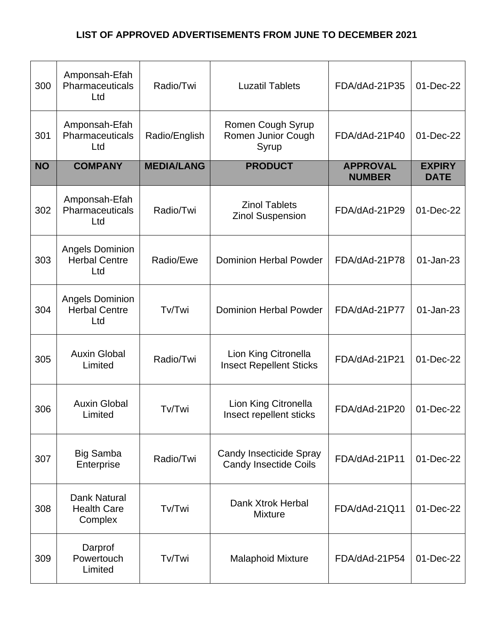| 300       | Amponsah-Efah<br>Pharmaceuticals<br>Ltd               | Radio/Twi         | <b>Luzatil Tablets</b>                                         | FDA/dAd-21P35                    | 01-Dec-22                    |
|-----------|-------------------------------------------------------|-------------------|----------------------------------------------------------------|----------------------------------|------------------------------|
| 301       | Amponsah-Efah<br>Pharmaceuticals<br>Ltd               | Radio/English     | Romen Cough Syrup<br>Romen Junior Cough<br>Syrup               | FDA/dAd-21P40                    | 01-Dec-22                    |
| <b>NO</b> | <b>COMPANY</b>                                        | <b>MEDIA/LANG</b> | <b>PRODUCT</b>                                                 | <b>APPROVAL</b><br><b>NUMBER</b> | <b>EXPIRY</b><br><b>DATE</b> |
| 302       | Amponsah-Efah<br>Pharmaceuticals<br>Ltd               | Radio/Twi         | <b>Zinol Tablets</b><br><b>Zinol Suspension</b>                | FDA/dAd-21P29                    | 01-Dec-22                    |
| 303       | <b>Angels Dominion</b><br><b>Herbal Centre</b><br>Ltd | Radio/Ewe         | <b>Dominion Herbal Powder</b>                                  | FDA/dAd-21P78                    | 01-Jan-23                    |
| 304       | <b>Angels Dominion</b><br><b>Herbal Centre</b><br>Ltd | Tv/Twi            | <b>Dominion Herbal Powder</b>                                  | FDA/dAd-21P77                    | 01-Jan-23                    |
| 305       | <b>Auxin Global</b><br>Limited                        | Radio/Twi         | Lion King Citronella<br><b>Insect Repellent Sticks</b>         | FDA/dAd-21P21                    | 01-Dec-22                    |
| 306       | <b>Auxin Global</b><br>Limited                        | Tv/Twi            | Lion King Citronella<br>Insect repellent sticks                | FDA/dAd-21P20                    | 01-Dec-22                    |
| 307       | <b>Big Samba</b><br>Enterprise                        | Radio/Twi         | <b>Candy Insecticide Spray</b><br><b>Candy Insectide Coils</b> | FDA/dAd-21P11                    | 01-Dec-22                    |
| 308       | <b>Dank Natural</b><br><b>Health Care</b><br>Complex  | Tv/Twi            | Dank Xtrok Herbal<br><b>Mixture</b>                            | FDA/dAd-21Q11                    | 01-Dec-22                    |
| 309       | Darprof<br>Powertouch<br>Limited                      | Tv/Twi            | <b>Malaphoid Mixture</b>                                       | FDA/dAd-21P54                    | 01-Dec-22                    |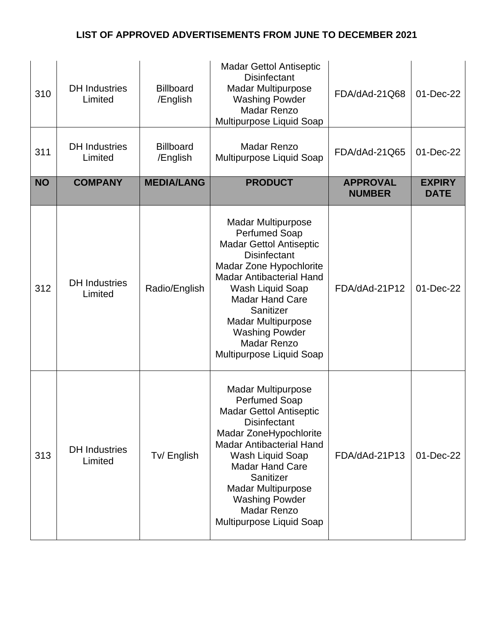| 310       | <b>DH</b> Industries<br>Limited | <b>Billboard</b><br>/English | <b>Madar Gettol Antiseptic</b><br><b>Disinfectant</b><br><b>Madar Multipurpose</b><br><b>Washing Powder</b><br><b>Madar Renzo</b><br>Multipurpose Liquid Soap                                                                                                                                                                               | FDA/dAd-21Q68                    | 01-Dec-22                    |
|-----------|---------------------------------|------------------------------|---------------------------------------------------------------------------------------------------------------------------------------------------------------------------------------------------------------------------------------------------------------------------------------------------------------------------------------------|----------------------------------|------------------------------|
| 311       | <b>DH</b> Industries<br>Limited | <b>Billboard</b><br>/English | <b>Madar Renzo</b><br>Multipurpose Liquid Soap                                                                                                                                                                                                                                                                                              | FDA/dAd-21Q65                    | 01-Dec-22                    |
| <b>NO</b> | <b>COMPANY</b>                  | <b>MEDIA/LANG</b>            | <b>PRODUCT</b>                                                                                                                                                                                                                                                                                                                              | <b>APPROVAL</b><br><b>NUMBER</b> | <b>EXPIRY</b><br><b>DATE</b> |
| 312       | <b>DH</b> Industries<br>Limited | Radio/English                | <b>Madar Multipurpose</b><br><b>Perfumed Soap</b><br><b>Madar Gettol Antiseptic</b><br><b>Disinfectant</b><br>Madar Zone Hypochlorite<br><b>Madar Antibacterial Hand</b><br>Wash Liquid Soap<br><b>Madar Hand Care</b><br>Sanitizer<br><b>Madar Multipurpose</b><br><b>Washing Powder</b><br><b>Madar Renzo</b><br>Multipurpose Liquid Soap | FDA/dAd-21P12                    | 01-Dec-22                    |
| 313       | <b>DH</b> Industries<br>Limited | Tv/English                   | <b>Madar Multipurpose</b><br>Perfumed Soap<br><b>Madar Gettol Antiseptic</b><br><b>Disinfectant</b><br>Madar ZoneHypochlorite<br><b>Madar Antibacterial Hand</b><br>Wash Liquid Soap<br><b>Madar Hand Care</b><br>Sanitizer<br><b>Madar Multipurpose</b><br><b>Washing Powder</b><br><b>Madar Renzo</b><br>Multipurpose Liquid Soap         | FDA/dAd-21P13                    | 01-Dec-22                    |